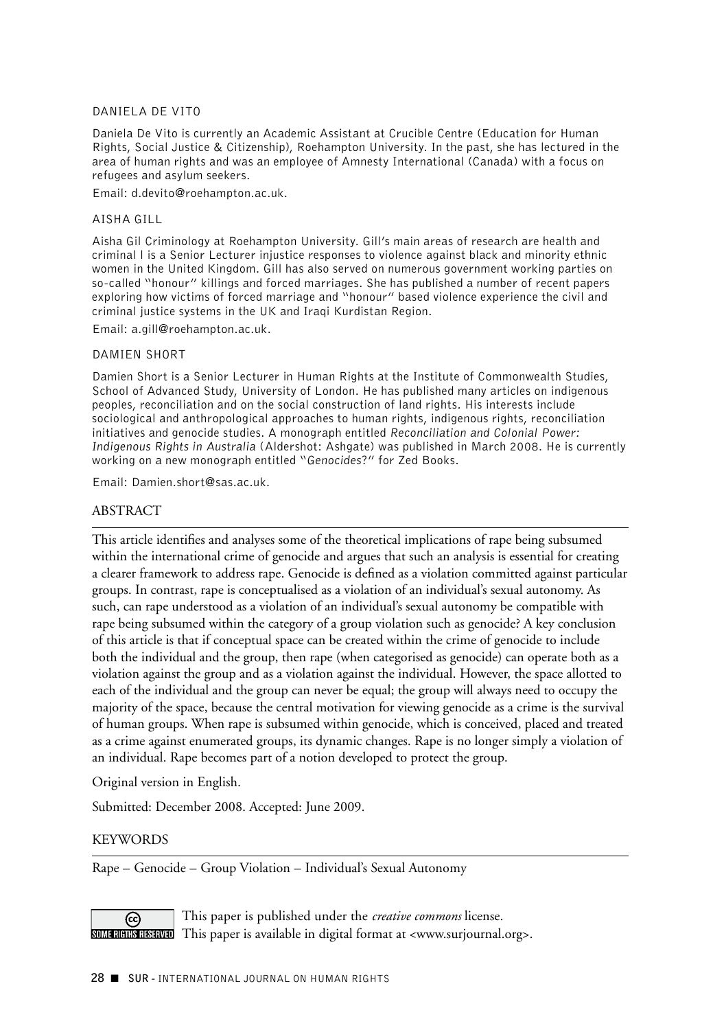### DANIELA DE VITO

Daniela De Vito is currently an Academic Assistant at Crucible Centre (Education for Human Rights, Social Justice & Citizenship), Roehampton University. In the past, she has lectured in the area of human rights and was an employee of Amnesty International (Canada) with a focus on refugees and asylum seekers.

Email: d.devito@roehampton.ac.uk.

### AISHA GILL

Aisha Gil Criminology at Roehampton University. Gill's main areas of research are health and criminal l is a Senior Lecturer injustice responses to violence against black and minority ethnic women in the United Kingdom. Gill has also served on numerous government working parties on so-called "honour" killings and forced marriages. She has published a number of recent papers exploring how victims of forced marriage and "honour" based violence experience the civil and criminal justice systems in the UK and Iraqi Kurdistan Region.

Email: a.gill@roehampton.ac.uk.

#### DAMIEN SHORT

Damien Short is a Senior Lecturer in Human Rights at the Institute of Commonwealth Studies, School of Advanced Study, University of London. He has published many articles on indigenous peoples, reconciliation and on the social construction of land rights. His interests include sociological and anthropological approaches to human rights, indigenous rights, reconciliation initiatives and genocide studies. A monograph entitled *Reconciliation and Colonial Power: Indigenous Rights in Australia* (Aldershot: Ashgate) was published in March 2008. He is currently working on a new monograph entitled "*Genocides*?" for Zed Books.

Email: Damien.short@sas.ac.uk.

### ABSTRACT

This article identifies and analyses some of the theoretical implications of rape being subsumed within the international crime of genocide and argues that such an analysis is essential for creating a clearer framework to address rape. Genocide is defined as a violation committed against particular groups. In contrast, rape is conceptualised as a violation of an individual's sexual autonomy. As such, can rape understood as a violation of an individual's sexual autonomy be compatible with rape being subsumed within the category of a group violation such as genocide? A key conclusion of this article is that if conceptual space can be created within the crime of genocide to include both the individual and the group, then rape (when categorised as genocide) can operate both as a violation against the group and as a violation against the individual. However, the space allotted to each of the individual and the group can never be equal; the group will always need to occupy the majority of the space, because the central motivation for viewing genocide as a crime is the survival of human groups. When rape is subsumed within genocide, which is conceived, placed and treated as a crime against enumerated groups, its dynamic changes. Rape is no longer simply a violation of an individual. Rape becomes part of a notion developed to protect the group.

Original version in English.

Submitted: December 2008. Accepted: June 2009.

### **KEYWORDS**

Rape – Genocide – Group Violation – Individual's Sexual Autonomy

This paper is published under the *creative commons* license. ල)  $\overline{\text{SOM-RIMHB}}$  This paper is available in digital format at <www.surjournal.org>.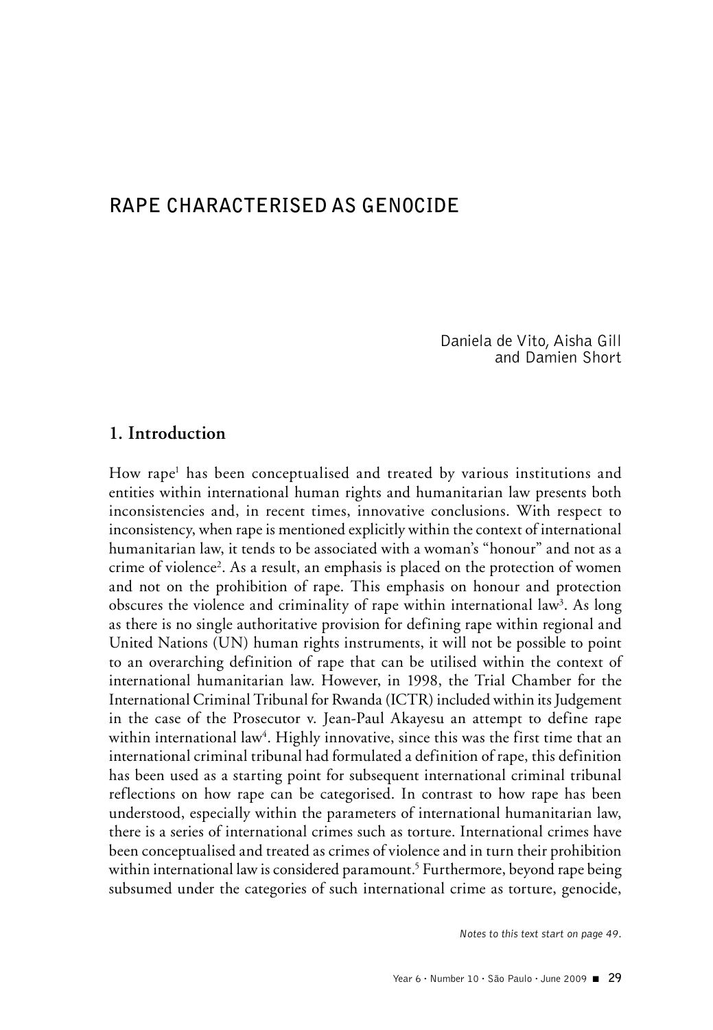# **RAPE CHARACTERISED AS GENOCIDE**

Daniela de Vito, Aisha Gill and Damien Short

### **1. Introduction**

How rape<sup>1</sup> has been conceptualised and treated by various institutions and entities within international human rights and humanitarian law presents both inconsistencies and, in recent times, innovative conclusions. With respect to inconsistency, when rape is mentioned explicitly within the context of international humanitarian law, it tends to be associated with a woman's "honour" and not as a crime of violence2 . As a result, an emphasis is placed on the protection of women and not on the prohibition of rape. This emphasis on honour and protection obscures the violence and criminality of rape within international law<sup>3</sup>. As long as there is no single authoritative provision for defining rape within regional and United Nations (UN) human rights instruments, it will not be possible to point to an overarching definition of rape that can be utilised within the context of international humanitarian law. However, in 1998, the Trial Chamber for the International Criminal Tribunal for Rwanda (ICTR) included within its Judgement in the case of the Prosecutor v. Jean-Paul Akayesu an attempt to define rape within international law<sup>4</sup>. Highly innovative, since this was the first time that an international criminal tribunal had formulated a definition of rape, this definition has been used as a starting point for subsequent international criminal tribunal reflections on how rape can be categorised. In contrast to how rape has been understood, especially within the parameters of international humanitarian law, there is a series of international crimes such as torture. International crimes have been conceptualised and treated as crimes of violence and in turn their prohibition within international law is considered paramount.<sup>5</sup> Furthermore, beyond rape being subsumed under the categories of such international crime as torture, genocide,

*Notes to this text start on page 49.*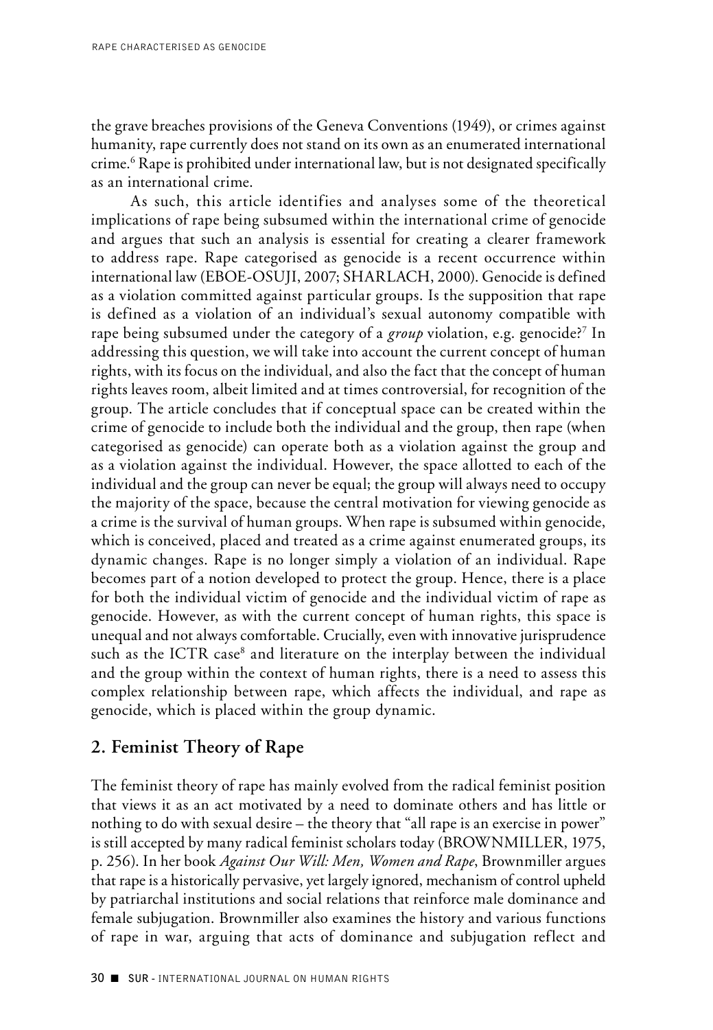the grave breaches provisions of the Geneva Conventions (1949), or crimes against humanity, rape currently does not stand on its own as an enumerated international crime.6 Rape is prohibited under international law, but is not designated specifically as an international crime.

As such, this article identifies and analyses some of the theoretical implications of rape being subsumed within the international crime of genocide and argues that such an analysis is essential for creating a clearer framework to address rape. Rape categorised as genocide is a recent occurrence within international law (EBOE-OSUJI, 2007; SHARLACH, 2000). Genocide is defined as a violation committed against particular groups. Is the supposition that rape is defined as a violation of an individual's sexual autonomy compatible with rape being subsumed under the category of a *group* violation, e.g. genocide?<sup>7</sup> In addressing this question, we will take into account the current concept of human rights, with its focus on the individual, and also the fact that the concept of human rights leaves room, albeit limited and at times controversial, for recognition of the group. The article concludes that if conceptual space can be created within the crime of genocide to include both the individual and the group, then rape (when categorised as genocide) can operate both as a violation against the group and as a violation against the individual. However, the space allotted to each of the individual and the group can never be equal; the group will always need to occupy the majority of the space, because the central motivation for viewing genocide as a crime is the survival of human groups. When rape is subsumed within genocide, which is conceived, placed and treated as a crime against enumerated groups, its dynamic changes. Rape is no longer simply a violation of an individual. Rape becomes part of a notion developed to protect the group. Hence, there is a place for both the individual victim of genocide and the individual victim of rape as genocide. However, as with the current concept of human rights, this space is unequal and not always comfortable. Crucially, even with innovative jurisprudence such as the ICTR case<sup>8</sup> and literature on the interplay between the individual and the group within the context of human rights, there is a need to assess this complex relationship between rape, which affects the individual, and rape as genocide, which is placed within the group dynamic.

# **2. Feminist Theory of Rape**

The feminist theory of rape has mainly evolved from the radical feminist position that views it as an act motivated by a need to dominate others and has little or nothing to do with sexual desire – the theory that "all rape is an exercise in power" is still accepted by many radical feminist scholars today (BROWNMILLER, 1975, p. 256). In her book *Against Our Will: Men, Women and Rape*, Brownmiller argues that rape is a historically pervasive, yet largely ignored, mechanism of control upheld by patriarchal institutions and social relations that reinforce male dominance and female subjugation. Brownmiller also examines the history and various functions of rape in war, arguing that acts of dominance and subjugation reflect and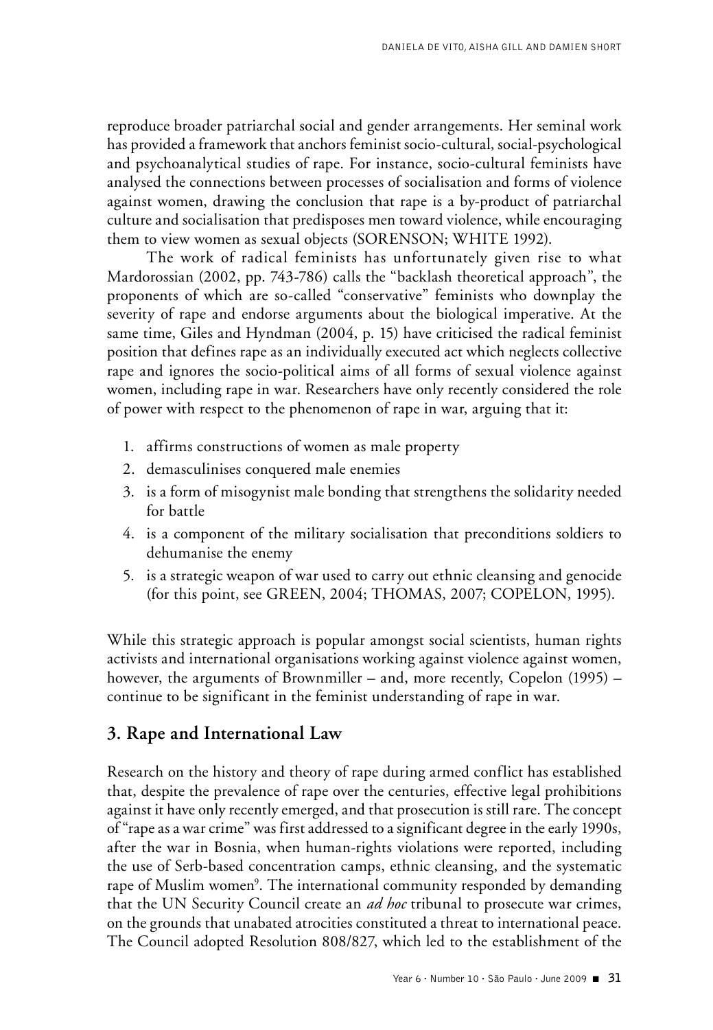reproduce broader patriarchal social and gender arrangements. Her seminal work has provided a framework that anchors feminist socio-cultural, social-psychological and psychoanalytical studies of rape. For instance, socio-cultural feminists have analysed the connections between processes of socialisation and forms of violence against women, drawing the conclusion that rape is a by-product of patriarchal culture and socialisation that predisposes men toward violence, while encouraging them to view women as sexual objects (SORENSON; WHITE 1992).

The work of radical feminists has unfortunately given rise to what Mardorossian (2002, pp. 743-786) calls the "backlash theoretical approach", the proponents of which are so-called "conservative" feminists who downplay the severity of rape and endorse arguments about the biological imperative. At the same time, Giles and Hyndman (2004, p. 15) have criticised the radical feminist position that defines rape as an individually executed act which neglects collective rape and ignores the socio-political aims of all forms of sexual violence against women, including rape in war. Researchers have only recently considered the role of power with respect to the phenomenon of rape in war, arguing that it:

- 1. affirms constructions of women as male property
- 2. demasculinises conquered male enemies
- 3. is a form of misogynist male bonding that strengthens the solidarity needed for battle
- 4. is a component of the military socialisation that preconditions soldiers to dehumanise the enemy
- 5. is a strategic weapon of war used to carry out ethnic cleansing and genocide (for this point, see GREEN, 2004; THOMAS, 2007; COPELON, 1995).

While this strategic approach is popular amongst social scientists, human rights activists and international organisations working against violence against women, however, the arguments of Brownmiller – and, more recently, Copelon (1995) – continue to be significant in the feminist understanding of rape in war.

## **3. Rape and International Law**

Research on the history and theory of rape during armed conflict has established that, despite the prevalence of rape over the centuries, effective legal prohibitions against it have only recently emerged, and that prosecution is still rare. The concept of "rape as a war crime" was first addressed to a significant degree in the early 1990s, after the war in Bosnia, when human-rights violations were reported, including the use of Serb-based concentration camps, ethnic cleansing, and the systematic rape of Muslim women<sup>9</sup>. The international community responded by demanding that the UN Security Council create an *ad hoc* tribunal to prosecute war crimes, on the grounds that unabated atrocities constituted a threat to international peace. The Council adopted Resolution 808/827, which led to the establishment of the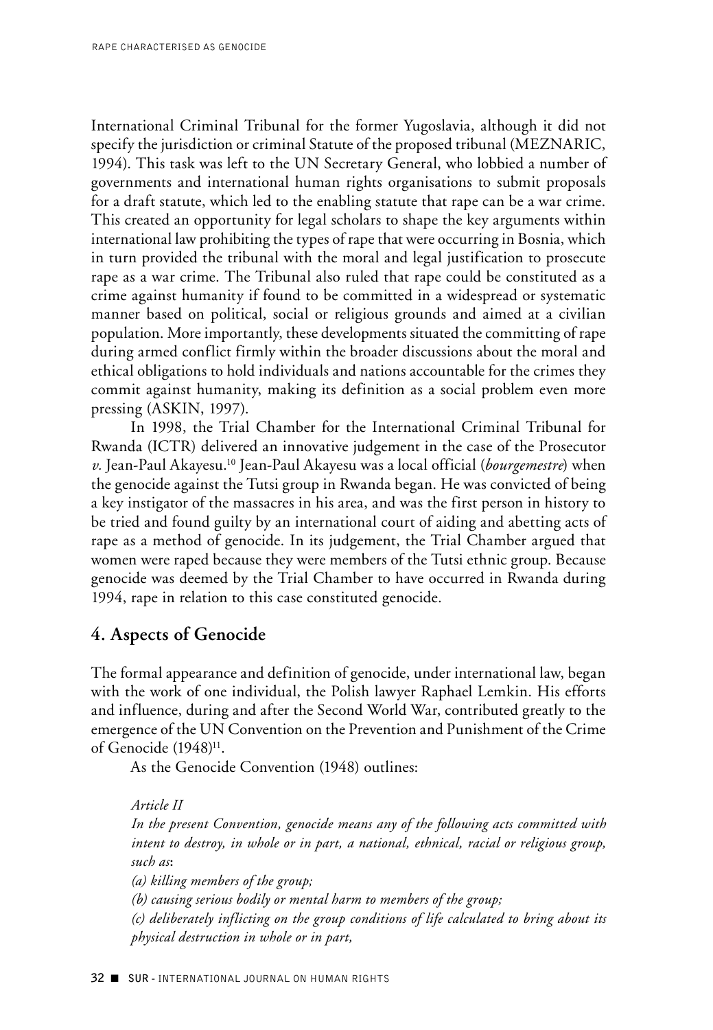International Criminal Tribunal for the former Yugoslavia, although it did not specify the jurisdiction or criminal Statute of the proposed tribunal (MEZNARIC, 1994). This task was left to the UN Secretary General, who lobbied a number of governments and international human rights organisations to submit proposals for a draft statute, which led to the enabling statute that rape can be a war crime. This created an opportunity for legal scholars to shape the key arguments within international law prohibiting the types of rape that were occurring in Bosnia, which in turn provided the tribunal with the moral and legal justification to prosecute rape as a war crime. The Tribunal also ruled that rape could be constituted as a crime against humanity if found to be committed in a widespread or systematic manner based on political, social or religious grounds and aimed at a civilian population. More importantly, these developments situated the committing of rape during armed conflict firmly within the broader discussions about the moral and ethical obligations to hold individuals and nations accountable for the crimes they commit against humanity, making its definition as a social problem even more pressing (ASKIN, 1997).

In 1998, the Trial Chamber for the International Criminal Tribunal for Rwanda (ICTR) delivered an innovative judgement in the case of the Prosecutor *v.* Jean-Paul Akayesu.10 Jean-Paul Akayesu was a local official (*bourgemestre*) when the genocide against the Tutsi group in Rwanda began. He was convicted of being a key instigator of the massacres in his area, and was the first person in history to be tried and found guilty by an international court of aiding and abetting acts of rape as a method of genocide. In its judgement, the Trial Chamber argued that women were raped because they were members of the Tutsi ethnic group. Because genocide was deemed by the Trial Chamber to have occurred in Rwanda during 1994, rape in relation to this case constituted genocide.

# **4. Aspects of Genocide**

The formal appearance and definition of genocide, under international law, began with the work of one individual, the Polish lawyer Raphael Lemkin. His efforts and influence, during and after the Second World War, contributed greatly to the emergence of the UN Convention on the Prevention and Punishment of the Crime of Genocide (1948)<sup>11</sup>.

As the Genocide Convention (1948) outlines:

*Article II In the present Convention, genocide means any of the following acts committed with intent to destroy, in whole or in part, a national, ethnical, racial or religious group, such as***:** *(a) killing members of the group; (b) causing serious bodily or mental harm to members of the group; (c) deliberately inflicting on the group conditions of life calculated to bring about its physical destruction in whole or in part,*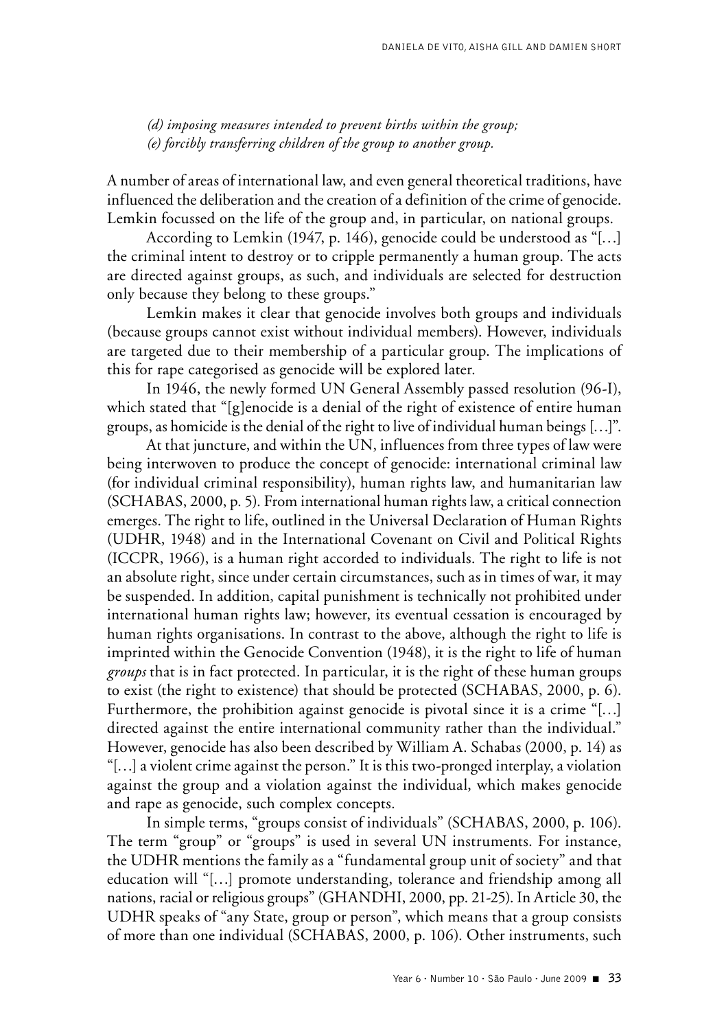*(d) imposing measures intended to prevent births within the group; (e) forcibly transferring children of the group to another group.* 

A number of areas of international law, and even general theoretical traditions, have influenced the deliberation and the creation of a definition of the crime of genocide. Lemkin focussed on the life of the group and, in particular, on national groups.

According to Lemkin (1947, p. 146), genocide could be understood as "[…] the criminal intent to destroy or to cripple permanently a human group. The acts are directed against groups, as such, and individuals are selected for destruction only because they belong to these groups."

Lemkin makes it clear that genocide involves both groups and individuals (because groups cannot exist without individual members). However, individuals are targeted due to their membership of a particular group. The implications of this for rape categorised as genocide will be explored later.

In 1946, the newly formed UN General Assembly passed resolution (96-I), which stated that "[g]enocide is a denial of the right of existence of entire human groups, as homicide is the denial of the right to live of individual human beings […]".

At that juncture, and within the UN, influences from three types of law were being interwoven to produce the concept of genocide: international criminal law (for individual criminal responsibility), human rights law, and humanitarian law (SCHABAS, 2000, p. 5). From international human rights law, a critical connection emerges. The right to life, outlined in the Universal Declaration of Human Rights (UDHR, 1948) and in the International Covenant on Civil and Political Rights (ICCPR, 1966), is a human right accorded to individuals. The right to life is not an absolute right, since under certain circumstances, such as in times of war, it may be suspended. In addition, capital punishment is technically not prohibited under international human rights law; however, its eventual cessation is encouraged by human rights organisations. In contrast to the above, although the right to life is imprinted within the Genocide Convention (1948), it is the right to life of human *groups* that is in fact protected. In particular, it is the right of these human groups to exist (the right to existence) that should be protected (SCHABAS, 2000, p. 6). Furthermore, the prohibition against genocide is pivotal since it is a crime "[...] directed against the entire international community rather than the individual." However, genocide has also been described by William A. Schabas (2000, p. 14) as "[…] a violent crime against the person." It is this two-pronged interplay, a violation against the group and a violation against the individual, which makes genocide and rape as genocide, such complex concepts.

In simple terms, "groups consist of individuals" (SCHABAS, 2000, p. 106). The term "group" or "groups" is used in several UN instruments. For instance, the UDHR mentions the family as a "fundamental group unit of society" and that education will "[…] promote understanding, tolerance and friendship among all nations, racial or religious groups" (GHANDHI, 2000, pp. 21-25). In Article 30, the UDHR speaks of "any State, group or person", which means that a group consists of more than one individual (SCHABAS, 2000, p. 106). Other instruments, such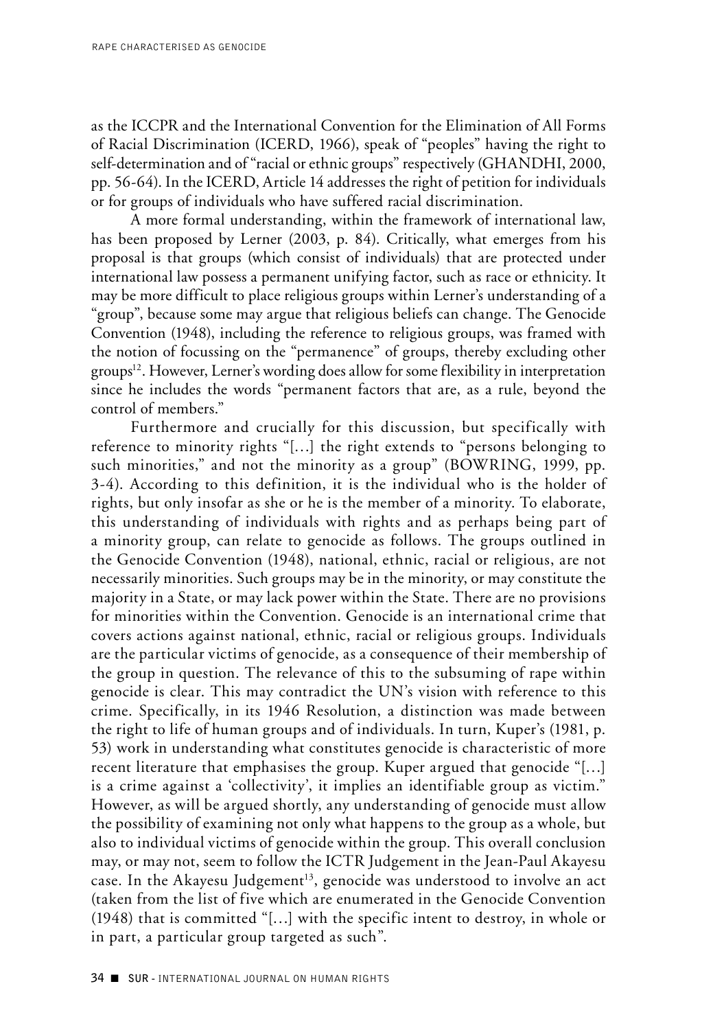as the ICCPR and the International Convention for the Elimination of All Forms of Racial Discrimination (ICERD, 1966), speak of "peoples" having the right to self-determination and of "racial or ethnic groups" respectively (GHANDHI, 2000, pp. 56-64). In the ICERD, Article 14 addresses the right of petition for individuals or for groups of individuals who have suffered racial discrimination.

A more formal understanding, within the framework of international law, has been proposed by Lerner (2003, p. 84). Critically, what emerges from his proposal is that groups (which consist of individuals) that are protected under international law possess a permanent unifying factor, such as race or ethnicity. It may be more difficult to place religious groups within Lerner's understanding of a "group", because some may argue that religious beliefs can change. The Genocide Convention (1948), including the reference to religious groups, was framed with the notion of focussing on the "permanence" of groups, thereby excluding other  $groups<sup>12</sup>$ . However, Lerner's wording does allow for some flexibility in interpretation since he includes the words "permanent factors that are, as a rule, beyond the control of members."

Furthermore and crucially for this discussion, but specifically with reference to minority rights "[…] the right extends to "persons belonging to such minorities," and not the minority as a group" (BOWRING, 1999, pp. 3-4). According to this definition, it is the individual who is the holder of rights, but only insofar as she or he is the member of a minority. To elaborate, this understanding of individuals with rights and as perhaps being part of a minority group, can relate to genocide as follows. The groups outlined in the Genocide Convention (1948), national, ethnic, racial or religious, are not necessarily minorities. Such groups may be in the minority, or may constitute the majority in a State, or may lack power within the State. There are no provisions for minorities within the Convention. Genocide is an international crime that covers actions against national, ethnic, racial or religious groups. Individuals are the particular victims of genocide, as a consequence of their membership of the group in question. The relevance of this to the subsuming of rape within genocide is clear. This may contradict the UN's vision with reference to this crime. Specifically, in its 1946 Resolution, a distinction was made between the right to life of human groups and of individuals. In turn, Kuper's (1981, p. 53) work in understanding what constitutes genocide is characteristic of more recent literature that emphasises the group. Kuper argued that genocide "[…] is a crime against a 'collectivity', it implies an identifiable group as victim." However, as will be argued shortly, any understanding of genocide must allow the possibility of examining not only what happens to the group as a whole, but also to individual victims of genocide within the group. This overall conclusion may, or may not, seem to follow the ICTR Judgement in the Jean-Paul Akayesu case. In the Akayesu Judgement<sup>13</sup>, genocide was understood to involve an act (taken from the list of five which are enumerated in the Genocide Convention (1948) that is committed "[…] with the specific intent to destroy, in whole or in part, a particular group targeted as such".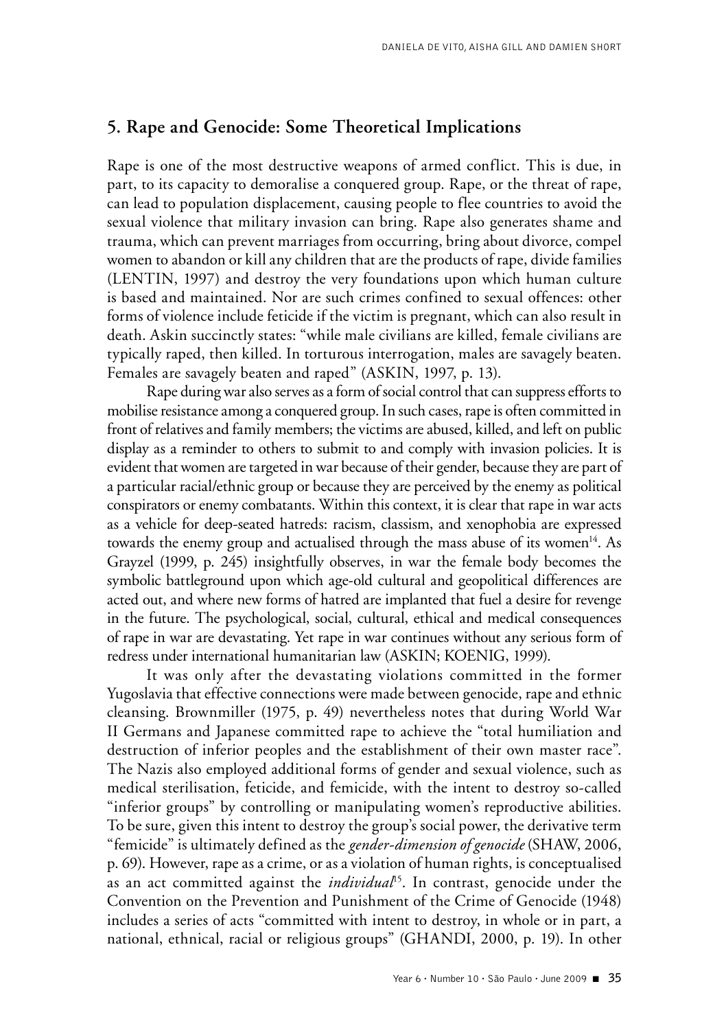### **5. Rape and Genocide: Some Theoretical Implications**

Rape is one of the most destructive weapons of armed conflict. This is due, in part, to its capacity to demoralise a conquered group. Rape, or the threat of rape, can lead to population displacement, causing people to flee countries to avoid the sexual violence that military invasion can bring. Rape also generates shame and trauma, which can prevent marriages from occurring, bring about divorce, compel women to abandon or kill any children that are the products of rape, divide families (LENTIN, 1997) and destroy the very foundations upon which human culture is based and maintained. Nor are such crimes confined to sexual offences: other forms of violence include feticide if the victim is pregnant, which can also result in death. Askin succinctly states: "while male civilians are killed, female civilians are typically raped, then killed. In torturous interrogation, males are savagely beaten. Females are savagely beaten and raped" (ASKIN, 1997, p. 13).

Rape during war also serves as a form of social control that can suppress efforts to mobilise resistance among a conquered group. In such cases, rape is often committed in front of relatives and family members; the victims are abused, killed, and left on public display as a reminder to others to submit to and comply with invasion policies. It is evident that women are targeted in war because of their gender, because they are part of a particular racial/ethnic group or because they are perceived by the enemy as political conspirators or enemy combatants. Within this context, it is clear that rape in war acts as a vehicle for deep-seated hatreds: racism, classism, and xenophobia are expressed towards the enemy group and actualised through the mass abuse of its women<sup>14</sup>. As Grayzel (1999, p. 245) insightfully observes, in war the female body becomes the symbolic battleground upon which age-old cultural and geopolitical differences are acted out, and where new forms of hatred are implanted that fuel a desire for revenge in the future. The psychological, social, cultural, ethical and medical consequences of rape in war are devastating. Yet rape in war continues without any serious form of redress under international humanitarian law (ASKIN; KOENIG, 1999).

It was only after the devastating violations committed in the former Yugoslavia that effective connections were made between genocide, rape and ethnic cleansing. Brownmiller (1975, p. 49) nevertheless notes that during World War II Germans and Japanese committed rape to achieve the "total humiliation and destruction of inferior peoples and the establishment of their own master race". The Nazis also employed additional forms of gender and sexual violence, such as medical sterilisation, feticide, and femicide, with the intent to destroy so-called "inferior groups" by controlling or manipulating women's reproductive abilities. To be sure, given this intent to destroy the group's social power, the derivative term "femicide" is ultimately defined as the *gender-dimension of genocide* (SHAW, 2006, p. 69). However, rape as a crime, or as a violation of human rights, is conceptualised as an act committed against the *individual*15. In contrast, genocide under the Convention on the Prevention and Punishment of the Crime of Genocide (1948) includes a series of acts "committed with intent to destroy, in whole or in part, a national, ethnical, racial or religious groups" (GHANDI, 2000, p. 19). In other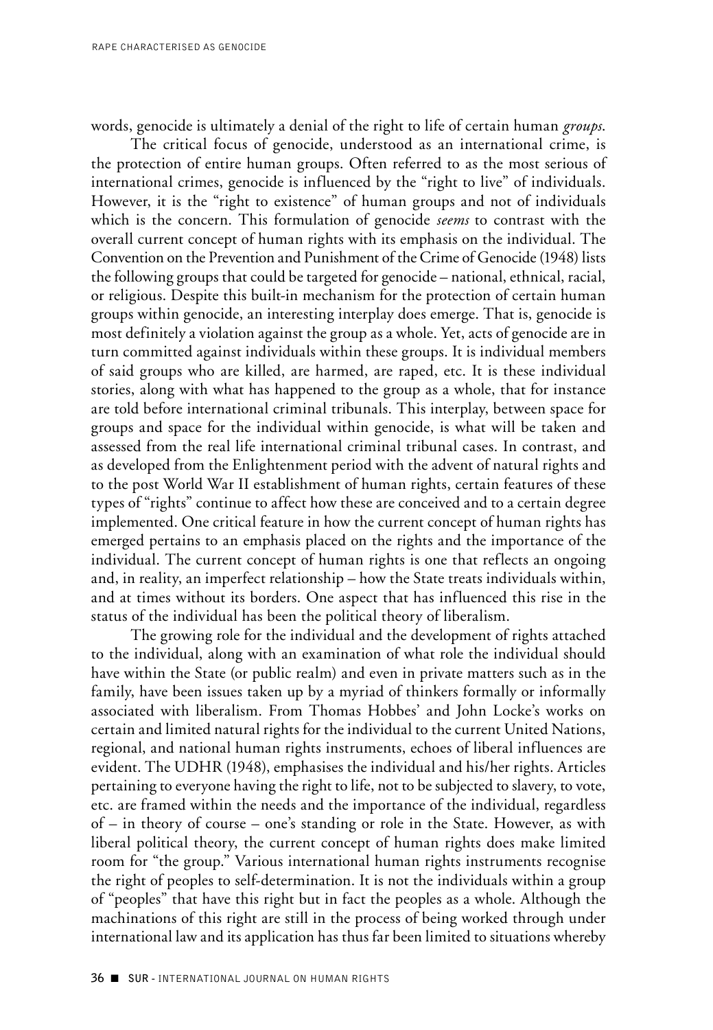words, genocide is ultimately a denial of the right to life of certain human *groups*.

The critical focus of genocide, understood as an international crime, is the protection of entire human groups. Often referred to as the most serious of international crimes, genocide is influenced by the "right to live" of individuals. However, it is the "right to existence" of human groups and not of individuals which is the concern. This formulation of genocide *seems* to contrast with the overall current concept of human rights with its emphasis on the individual. The Convention on the Prevention and Punishment of the Crime of Genocide (1948) lists the following groups that could be targeted for genocide – national, ethnical, racial, or religious. Despite this built-in mechanism for the protection of certain human groups within genocide, an interesting interplay does emerge. That is, genocide is most definitely a violation against the group as a whole. Yet, acts of genocide are in turn committed against individuals within these groups. It is individual members of said groups who are killed, are harmed, are raped, etc. It is these individual stories, along with what has happened to the group as a whole, that for instance are told before international criminal tribunals. This interplay, between space for groups and space for the individual within genocide, is what will be taken and assessed from the real life international criminal tribunal cases. In contrast, and as developed from the Enlightenment period with the advent of natural rights and to the post World War II establishment of human rights, certain features of these types of "rights" continue to affect how these are conceived and to a certain degree implemented. One critical feature in how the current concept of human rights has emerged pertains to an emphasis placed on the rights and the importance of the individual. The current concept of human rights is one that reflects an ongoing and, in reality, an imperfect relationship – how the State treats individuals within, and at times without its borders. One aspect that has influenced this rise in the status of the individual has been the political theory of liberalism.

The growing role for the individual and the development of rights attached to the individual, along with an examination of what role the individual should have within the State (or public realm) and even in private matters such as in the family, have been issues taken up by a myriad of thinkers formally or informally associated with liberalism. From Thomas Hobbes' and John Locke's works on certain and limited natural rights for the individual to the current United Nations, regional, and national human rights instruments, echoes of liberal influences are evident. The UDHR (1948), emphasises the individual and his/her rights. Articles pertaining to everyone having the right to life, not to be subjected to slavery, to vote, etc. are framed within the needs and the importance of the individual, regardless of – in theory of course – one's standing or role in the State. However, as with liberal political theory, the current concept of human rights does make limited room for "the group." Various international human rights instruments recognise the right of peoples to self-determination. It is not the individuals within a group of "peoples" that have this right but in fact the peoples as a whole. Although the machinations of this right are still in the process of being worked through under international law and its application has thus far been limited to situations whereby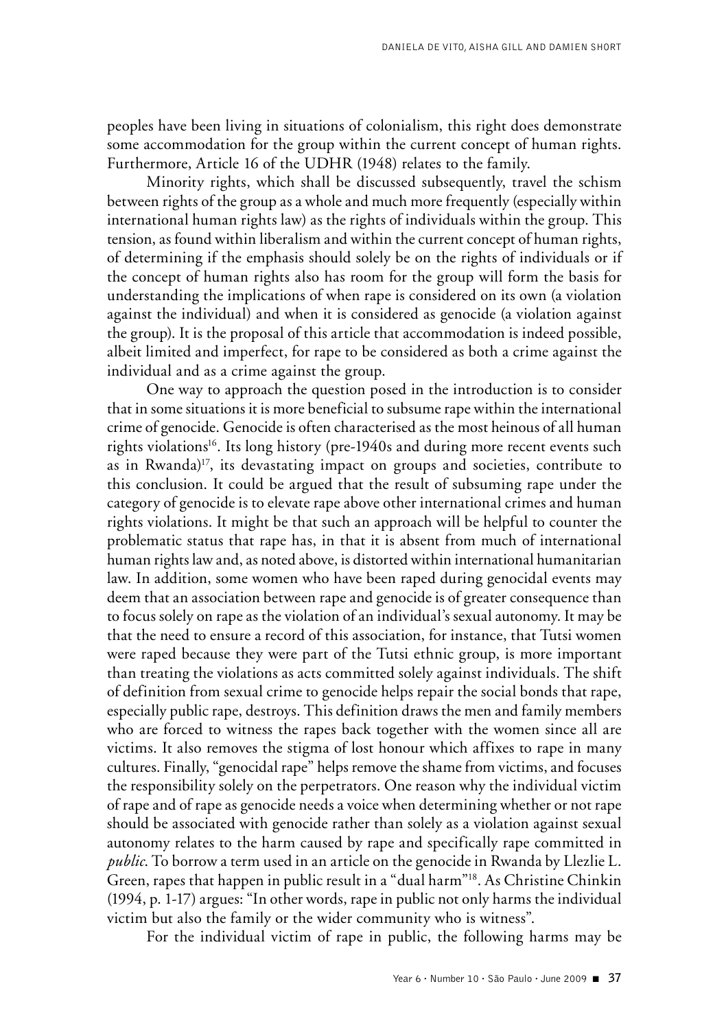peoples have been living in situations of colonialism, this right does demonstrate some accommodation for the group within the current concept of human rights. Furthermore, Article 16 of the UDHR (1948) relates to the family.

Minority rights, which shall be discussed subsequently, travel the schism between rights of the group as a whole and much more frequently (especially within international human rights law) as the rights of individuals within the group. This tension, as found within liberalism and within the current concept of human rights, of determining if the emphasis should solely be on the rights of individuals or if the concept of human rights also has room for the group will form the basis for understanding the implications of when rape is considered on its own (a violation against the individual) and when it is considered as genocide (a violation against the group). It is the proposal of this article that accommodation is indeed possible, albeit limited and imperfect, for rape to be considered as both a crime against the individual and as a crime against the group.

One way to approach the question posed in the introduction is to consider that in some situations it is more beneficial to subsume rape within the international crime of genocide. Genocide is often characterised as the most heinous of all human rights violations<sup>16</sup>. Its long history (pre-1940s and during more recent events such as in Rwanda)<sup>17</sup>, its devastating impact on groups and societies, contribute to this conclusion. It could be argued that the result of subsuming rape under the category of genocide is to elevate rape above other international crimes and human rights violations. It might be that such an approach will be helpful to counter the problematic status that rape has, in that it is absent from much of international human rights law and, as noted above, is distorted within international humanitarian law. In addition, some women who have been raped during genocidal events may deem that an association between rape and genocide is of greater consequence than to focus solely on rape as the violation of an individual's sexual autonomy. It may be that the need to ensure a record of this association, for instance, that Tutsi women were raped because they were part of the Tutsi ethnic group, is more important than treating the violations as acts committed solely against individuals. The shift of definition from sexual crime to genocide helps repair the social bonds that rape, especially public rape, destroys. This definition draws the men and family members who are forced to witness the rapes back together with the women since all are victims. It also removes the stigma of lost honour which affixes to rape in many cultures. Finally, "genocidal rape" helps remove the shame from victims, and focuses the responsibility solely on the perpetrators. One reason why the individual victim of rape and of rape as genocide needs a voice when determining whether or not rape should be associated with genocide rather than solely as a violation against sexual autonomy relates to the harm caused by rape and specifically rape committed in *public*. To borrow a term used in an article on the genocide in Rwanda by Llezlie L. Green, rapes that happen in public result in a "dual harm"18. As Christine Chinkin (1994, p. 1-17) argues: "In other words, rape in public not only harms the individual victim but also the family or the wider community who is witness".

For the individual victim of rape in public, the following harms may be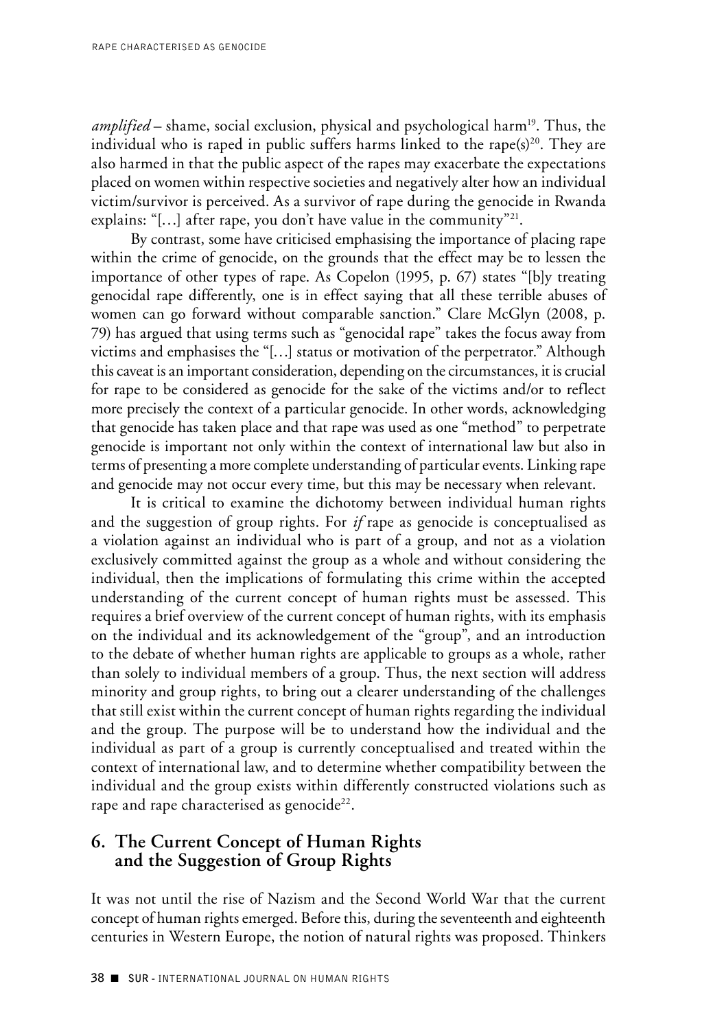*amplified* – shame, social exclusion, physical and psychological harm<sup>19</sup>. Thus, the individual who is raped in public suffers harms linked to the rape $(s)^{20}$ . They are also harmed in that the public aspect of the rapes may exacerbate the expectations placed on women within respective societies and negatively alter how an individual victim/survivor is perceived. As a survivor of rape during the genocide in Rwanda explains: "[...] after rape, you don't have value in the community"<sup>21</sup>.

By contrast, some have criticised emphasising the importance of placing rape within the crime of genocide, on the grounds that the effect may be to lessen the importance of other types of rape. As Copelon (1995, p. 67) states "[b]y treating genocidal rape differently, one is in effect saying that all these terrible abuses of women can go forward without comparable sanction." Clare McGlyn (2008, p. 79) has argued that using terms such as "genocidal rape" takes the focus away from victims and emphasises the "[…] status or motivation of the perpetrator." Although this caveat is an important consideration, depending on the circumstances, it is crucial for rape to be considered as genocide for the sake of the victims and/or to reflect more precisely the context of a particular genocide. In other words, acknowledging that genocide has taken place and that rape was used as one "method" to perpetrate genocide is important not only within the context of international law but also in terms of presenting a more complete understanding of particular events. Linking rape and genocide may not occur every time, but this may be necessary when relevant.

It is critical to examine the dichotomy between individual human rights and the suggestion of group rights. For *if* rape as genocide is conceptualised as a violation against an individual who is part of a group, and not as a violation exclusively committed against the group as a whole and without considering the individual, then the implications of formulating this crime within the accepted understanding of the current concept of human rights must be assessed. This requires a brief overview of the current concept of human rights, with its emphasis on the individual and its acknowledgement of the "group", and an introduction to the debate of whether human rights are applicable to groups as a whole, rather than solely to individual members of a group. Thus, the next section will address minority and group rights, to bring out a clearer understanding of the challenges that still exist within the current concept of human rights regarding the individual and the group. The purpose will be to understand how the individual and the individual as part of a group is currently conceptualised and treated within the context of international law, and to determine whether compatibility between the individual and the group exists within differently constructed violations such as rape and rape characterised as genocide<sup>22</sup>.

## **6. The Current Concept of Human Rights and the Suggestion of Group Rights**

It was not until the rise of Nazism and the Second World War that the current concept of human rights emerged. Before this, during the seventeenth and eighteenth centuries in Western Europe, the notion of natural rights was proposed. Thinkers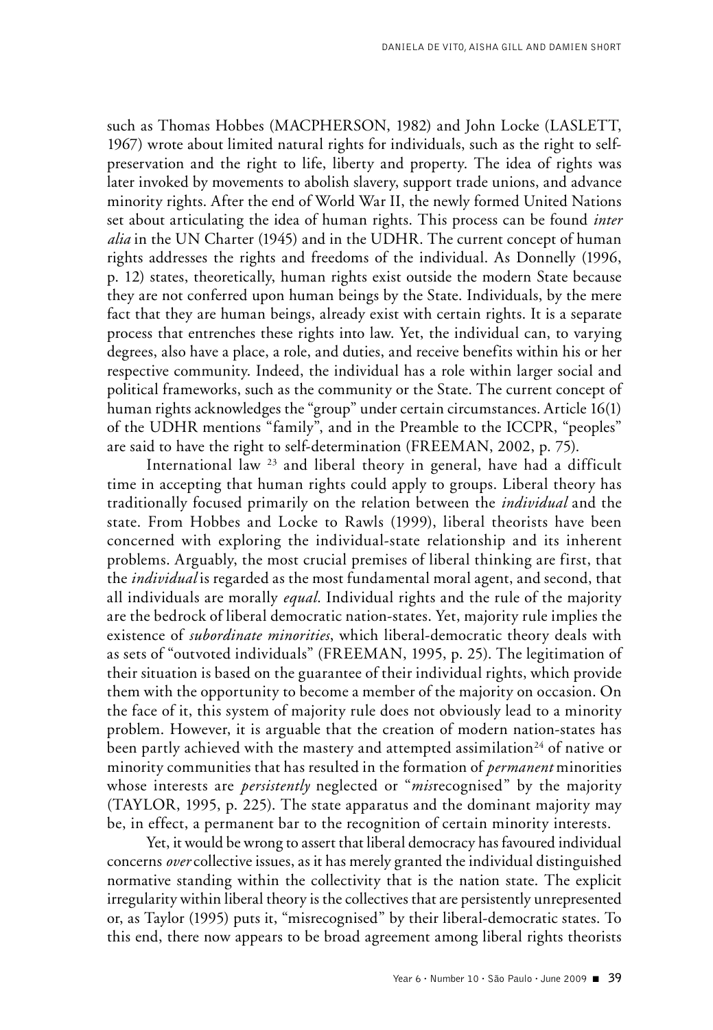such as Thomas Hobbes (MACPHERSON, 1982) and John Locke (LASLETT, 1967) wrote about limited natural rights for individuals, such as the right to selfpreservation and the right to life, liberty and property. The idea of rights was later invoked by movements to abolish slavery, support trade unions, and advance minority rights. After the end of World War II, the newly formed United Nations set about articulating the idea of human rights. This process can be found *inter alia* in the UN Charter (1945) and in the UDHR. The current concept of human rights addresses the rights and freedoms of the individual. As Donnelly (1996, p. 12) states, theoretically, human rights exist outside the modern State because they are not conferred upon human beings by the State. Individuals, by the mere fact that they are human beings, already exist with certain rights. It is a separate process that entrenches these rights into law. Yet, the individual can, to varying degrees, also have a place, a role, and duties, and receive benefits within his or her respective community. Indeed, the individual has a role within larger social and political frameworks, such as the community or the State. The current concept of human rights acknowledges the "group" under certain circumstances. Article 16(1) of the UDHR mentions "family", and in the Preamble to the ICCPR, "peoples" are said to have the right to self-determination (FREEMAN, 2002, p. 75).

International law  $^{23}$  and liberal theory in general, have had a difficult time in accepting that human rights could apply to groups. Liberal theory has traditionally focused primarily on the relation between the *individual* and the state. From Hobbes and Locke to Rawls (1999), liberal theorists have been concerned with exploring the individual-state relationship and its inherent problems. Arguably, the most crucial premises of liberal thinking are first, that the *individual* is regarded as the most fundamental moral agent, and second, that all individuals are morally *equal*. Individual rights and the rule of the majority are the bedrock of liberal democratic nation-states. Yet, majority rule implies the existence of *subordinate minorities*, which liberal-democratic theory deals with as sets of "outvoted individuals" (FREEMAN, 1995, p. 25). The legitimation of their situation is based on the guarantee of their individual rights, which provide them with the opportunity to become a member of the majority on occasion. On the face of it, this system of majority rule does not obviously lead to a minority problem. However, it is arguable that the creation of modern nation-states has been partly achieved with the mastery and attempted assimilation<sup>24</sup> of native or minority communities that has resulted in the formation of *permanent* minorities whose interests are *persistently* neglected or "*mis*recognised" by the majority (TAYLOR, 1995, p. 225). The state apparatus and the dominant majority may be, in effect, a permanent bar to the recognition of certain minority interests.

Yet, it would be wrong to assert that liberal democracy has favoured individual concerns *over* collective issues, as it has merely granted the individual distinguished normative standing within the collectivity that is the nation state. The explicit irregularity within liberal theory is the collectives that are persistently unrepresented or, as Taylor (1995) puts it, "misrecognised" by their liberal-democratic states. To this end, there now appears to be broad agreement among liberal rights theorists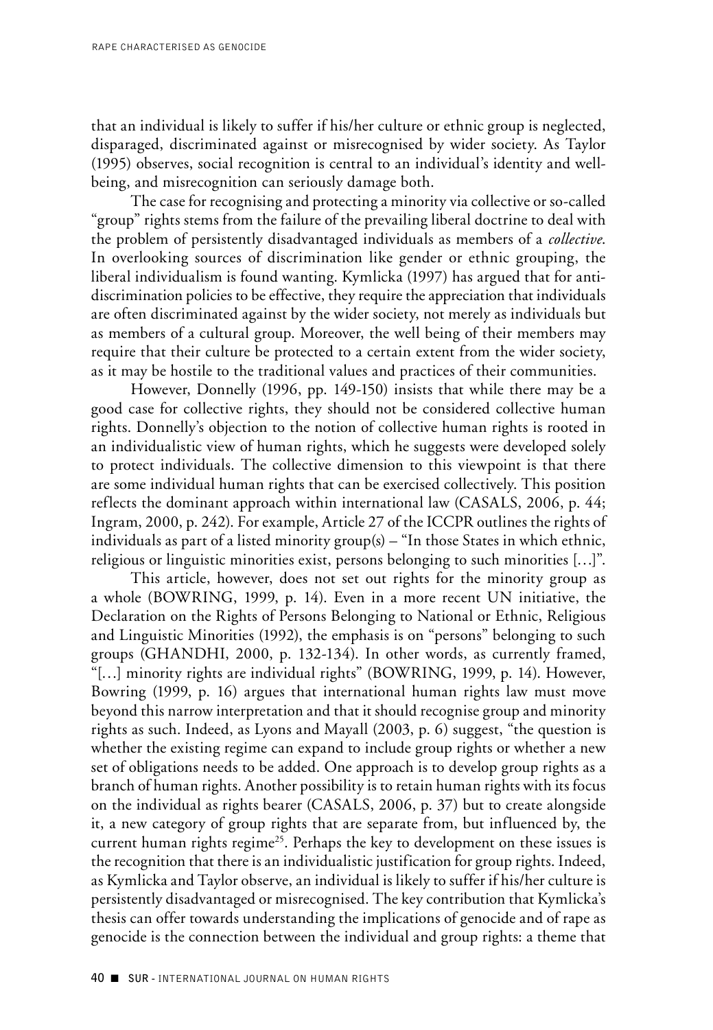that an individual is likely to suffer if his/her culture or ethnic group is neglected, disparaged, discriminated against or misrecognised by wider society. As Taylor (1995) observes, social recognition is central to an individual's identity and wellbeing, and misrecognition can seriously damage both.

The case for recognising and protecting a minority via collective or so-called "group" rights stems from the failure of the prevailing liberal doctrine to deal with the problem of persistently disadvantaged individuals as members of a *collective*. In overlooking sources of discrimination like gender or ethnic grouping, the liberal individualism is found wanting. Kymlicka (1997) has argued that for antidiscrimination policies to be effective, they require the appreciation that individuals are often discriminated against by the wider society, not merely as individuals but as members of a cultural group. Moreover, the well being of their members may require that their culture be protected to a certain extent from the wider society, as it may be hostile to the traditional values and practices of their communities.

However, Donnelly (1996, pp. 149-150) insists that while there may be a good case for collective rights, they should not be considered collective human rights. Donnelly's objection to the notion of collective human rights is rooted in an individualistic view of human rights, which he suggests were developed solely to protect individuals. The collective dimension to this viewpoint is that there are some individual human rights that can be exercised collectively. This position reflects the dominant approach within international law (CASALS, 2006, p. 44; Ingram, 2000, p. 242). For example, Article 27 of the ICCPR outlines the rights of individuals as part of a listed minority group(s) – "In those States in which ethnic, religious or linguistic minorities exist, persons belonging to such minorities […]".

This article, however, does not set out rights for the minority group as a whole (BOWRING, 1999, p. 14). Even in a more recent UN initiative, the Declaration on the Rights of Persons Belonging to National or Ethnic, Religious and Linguistic Minorities (1992), the emphasis is on "persons" belonging to such groups (GHANDHI, 2000, p. 132-134). In other words, as currently framed, "[…] minority rights are individual rights" (BOWRING, 1999, p. 14). However, Bowring (1999, p. 16) argues that international human rights law must move beyond this narrow interpretation and that it should recognise group and minority rights as such. Indeed, as Lyons and Mayall (2003, p. 6) suggest, "the question is whether the existing regime can expand to include group rights or whether a new set of obligations needs to be added. One approach is to develop group rights as a branch of human rights. Another possibility is to retain human rights with its focus on the individual as rights bearer (CASALS, 2006, p. 37) but to create alongside it, a new category of group rights that are separate from, but influenced by, the current human rights regime<sup>25</sup>. Perhaps the key to development on these issues is the recognition that there is an individualistic justification for group rights. Indeed, as Kymlicka and Taylor observe, an individual is likely to suffer if his/her culture is persistently disadvantaged or misrecognised. The key contribution that Kymlicka's thesis can offer towards understanding the implications of genocide and of rape as genocide is the connection between the individual and group rights: a theme that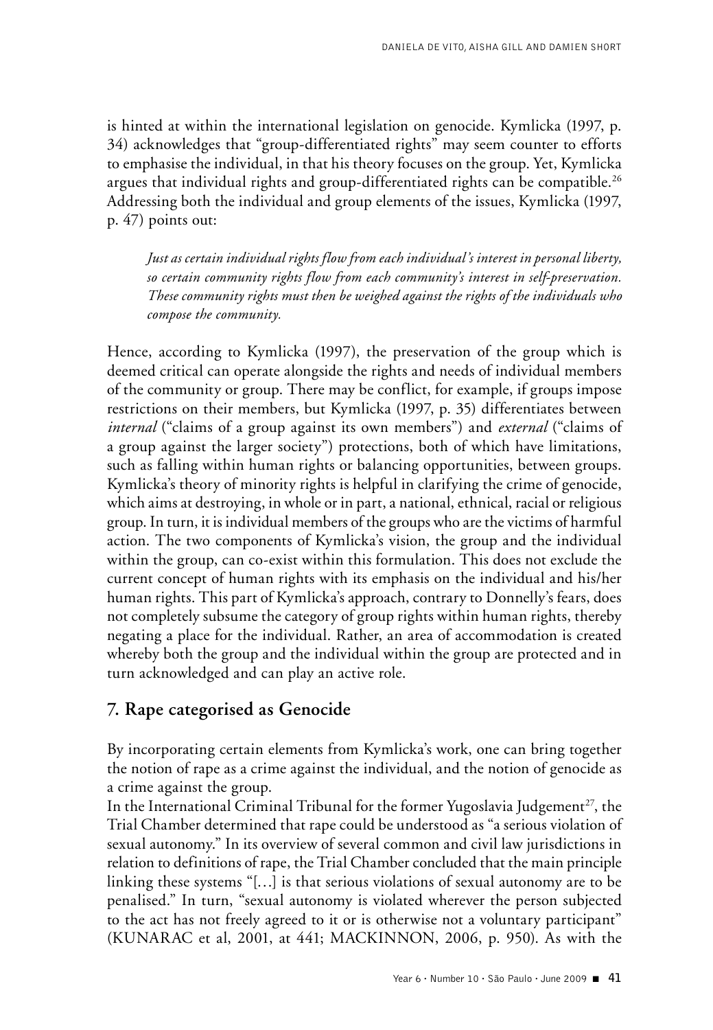is hinted at within the international legislation on genocide. Kymlicka (1997, p. 34) acknowledges that "group-differentiated rights" may seem counter to efforts to emphasise the individual, in that his theory focuses on the group. Yet, Kymlicka argues that individual rights and group-differentiated rights can be compatible.<sup>26</sup> Addressing both the individual and group elements of the issues, Kymlicka (1997, p. 47) points out:

*Just as certain individual rights flow from each individual's interest in personal liberty, so certain community rights flow from each community's interest in self-preservation. These community rights must then be weighed against the rights of the individuals who compose the community.*

Hence, according to Kymlicka (1997), the preservation of the group which is deemed critical can operate alongside the rights and needs of individual members of the community or group. There may be conflict, for example, if groups impose restrictions on their members, but Kymlicka (1997, p. 35) differentiates between *internal* ("claims of a group against its own members") and *external* ("claims of a group against the larger society") protections, both of which have limitations, such as falling within human rights or balancing opportunities, between groups. Kymlicka's theory of minority rights is helpful in clarifying the crime of genocide, which aims at destroying, in whole or in part, a national, ethnical, racial or religious group. In turn, it is individual members of the groups who are the victims of harmful action. The two components of Kymlicka's vision, the group and the individual within the group, can co-exist within this formulation. This does not exclude the current concept of human rights with its emphasis on the individual and his/her human rights. This part of Kymlicka's approach, contrary to Donnelly's fears, does not completely subsume the category of group rights within human rights, thereby negating a place for the individual. Rather, an area of accommodation is created whereby both the group and the individual within the group are protected and in turn acknowledged and can play an active role.

# **7. Rape categorised as Genocide**

By incorporating certain elements from Kymlicka's work, one can bring together the notion of rape as a crime against the individual, and the notion of genocide as a crime against the group.

In the International Criminal Tribunal for the former Yugoslavia Judgement<sup>27</sup>, the Trial Chamber determined that rape could be understood as "a serious violation of sexual autonomy." In its overview of several common and civil law jurisdictions in relation to definitions of rape, the Trial Chamber concluded that the main principle linking these systems "[…] is that serious violations of sexual autonomy are to be penalised." In turn, "sexual autonomy is violated wherever the person subjected to the act has not freely agreed to it or is otherwise not a voluntary participant" (KUNARAC et al, 2001, at 441; MACKINNON, 2006, p. 950). As with the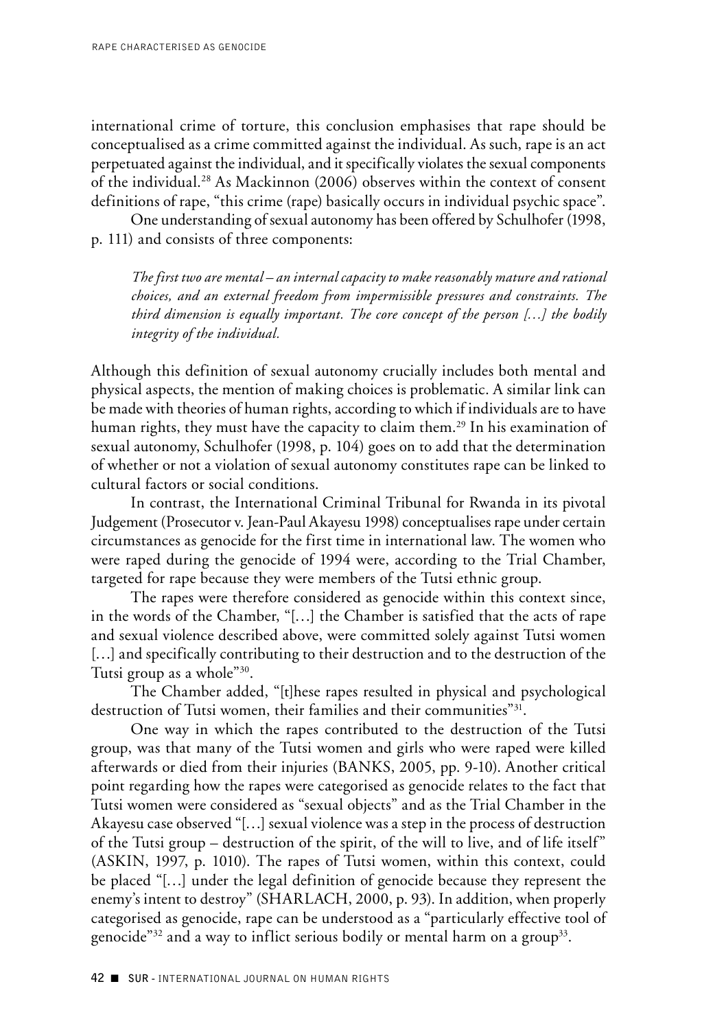international crime of torture, this conclusion emphasises that rape should be conceptualised as a crime committed against the individual. As such, rape is an act perpetuated against the individual, and it specifically violates the sexual components of the individual.28 As Mackinnon (2006) observes within the context of consent definitions of rape, "this crime (rape) basically occurs in individual psychic space".

One understanding of sexual autonomy has been offered by Schulhofer (1998, p. 111) and consists of three components:

*The first two are mental – an internal capacity to make reasonably mature and rational choices, and an external freedom from impermissible pressures and constraints. The third dimension is equally important. The core concept of the person […] the bodily integrity of the individual.*

Although this definition of sexual autonomy crucially includes both mental and physical aspects, the mention of making choices is problematic. A similar link can be made with theories of human rights, according to which if individuals are to have human rights, they must have the capacity to claim them.<sup>29</sup> In his examination of sexual autonomy, Schulhofer (1998, p. 104) goes on to add that the determination of whether or not a violation of sexual autonomy constitutes rape can be linked to cultural factors or social conditions.

In contrast, the International Criminal Tribunal for Rwanda in its pivotal Judgement (Prosecutor v. Jean-Paul Akayesu 1998) conceptualises rape under certain circumstances as genocide for the first time in international law. The women who were raped during the genocide of 1994 were, according to the Trial Chamber, targeted for rape because they were members of the Tutsi ethnic group.

The rapes were therefore considered as genocide within this context since, in the words of the Chamber, "[…] the Chamber is satisfied that the acts of rape and sexual violence described above, were committed solely against Tutsi women [...] and specifically contributing to their destruction and to the destruction of the Tutsi group as a whole"30.

The Chamber added, "[t]hese rapes resulted in physical and psychological destruction of Tutsi women, their families and their communities"31.

One way in which the rapes contributed to the destruction of the Tutsi group, was that many of the Tutsi women and girls who were raped were killed afterwards or died from their injuries (BANKS, 2005, pp. 9-10). Another critical point regarding how the rapes were categorised as genocide relates to the fact that Tutsi women were considered as "sexual objects" and as the Trial Chamber in the Akayesu case observed "[…] sexual violence was a step in the process of destruction of the Tutsi group – destruction of the spirit, of the will to live, and of life itself" (ASKIN, 1997, p. 1010). The rapes of Tutsi women, within this context, could be placed "[…] under the legal definition of genocide because they represent the enemy's intent to destroy" (SHARLACH, 2000, p. 93). In addition, when properly categorised as genocide, rape can be understood as a "particularly effective tool of genocide" $32$  and a way to inflict serious bodily or mental harm on a group $33$ .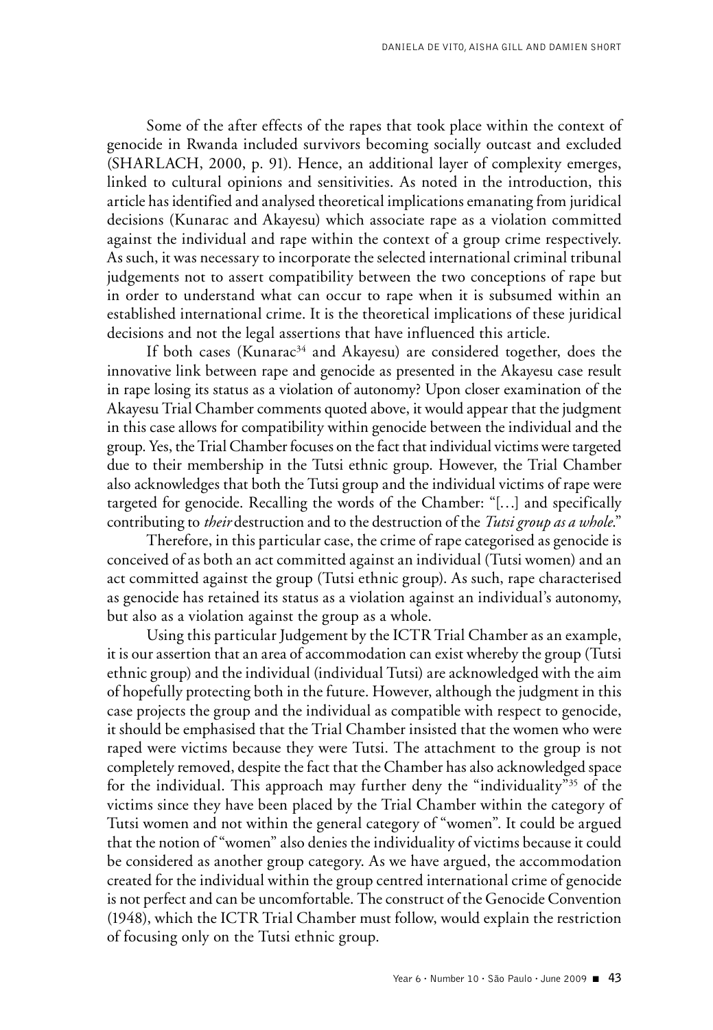Some of the after effects of the rapes that took place within the context of genocide in Rwanda included survivors becoming socially outcast and excluded (SHARLACH, 2000, p. 91). Hence, an additional layer of complexity emerges, linked to cultural opinions and sensitivities. As noted in the introduction, this article has identified and analysed theoretical implications emanating from juridical decisions (Kunarac and Akayesu) which associate rape as a violation committed against the individual and rape within the context of a group crime respectively. As such, it was necessary to incorporate the selected international criminal tribunal judgements not to assert compatibility between the two conceptions of rape but in order to understand what can occur to rape when it is subsumed within an established international crime. It is the theoretical implications of these juridical decisions and not the legal assertions that have influenced this article.

If both cases (Kunarac<sup>34</sup> and Akayesu) are considered together, does the innovative link between rape and genocide as presented in the Akayesu case result in rape losing its status as a violation of autonomy? Upon closer examination of the Akayesu Trial Chamber comments quoted above, it would appear that the judgment in this case allows for compatibility within genocide between the individual and the group. Yes, the Trial Chamber focuses on the fact that individual victims were targeted due to their membership in the Tutsi ethnic group. However, the Trial Chamber also acknowledges that both the Tutsi group and the individual victims of rape were targeted for genocide. Recalling the words of the Chamber: "[…] and specifically contributing to *their* destruction and to the destruction of the *Tutsi group as a whole*."

Therefore, in this particular case, the crime of rape categorised as genocide is conceived of as both an act committed against an individual (Tutsi women) and an act committed against the group (Tutsi ethnic group). As such, rape characterised as genocide has retained its status as a violation against an individual's autonomy, but also as a violation against the group as a whole.

Using this particular Judgement by the ICTR Trial Chamber as an example, it is our assertion that an area of accommodation can exist whereby the group (Tutsi ethnic group) and the individual (individual Tutsi) are acknowledged with the aim of hopefully protecting both in the future. However, although the judgment in this case projects the group and the individual as compatible with respect to genocide, it should be emphasised that the Trial Chamber insisted that the women who were raped were victims because they were Tutsi. The attachment to the group is not completely removed, despite the fact that the Chamber has also acknowledged space for the individual. This approach may further deny the "individuality"35 of the victims since they have been placed by the Trial Chamber within the category of Tutsi women and not within the general category of "women". It could be argued that the notion of "women" also denies the individuality of victims because it could be considered as another group category. As we have argued, the accommodation created for the individual within the group centred international crime of genocide is not perfect and can be uncomfortable. The construct of the Genocide Convention (1948), which the ICTR Trial Chamber must follow, would explain the restriction of focusing only on the Tutsi ethnic group.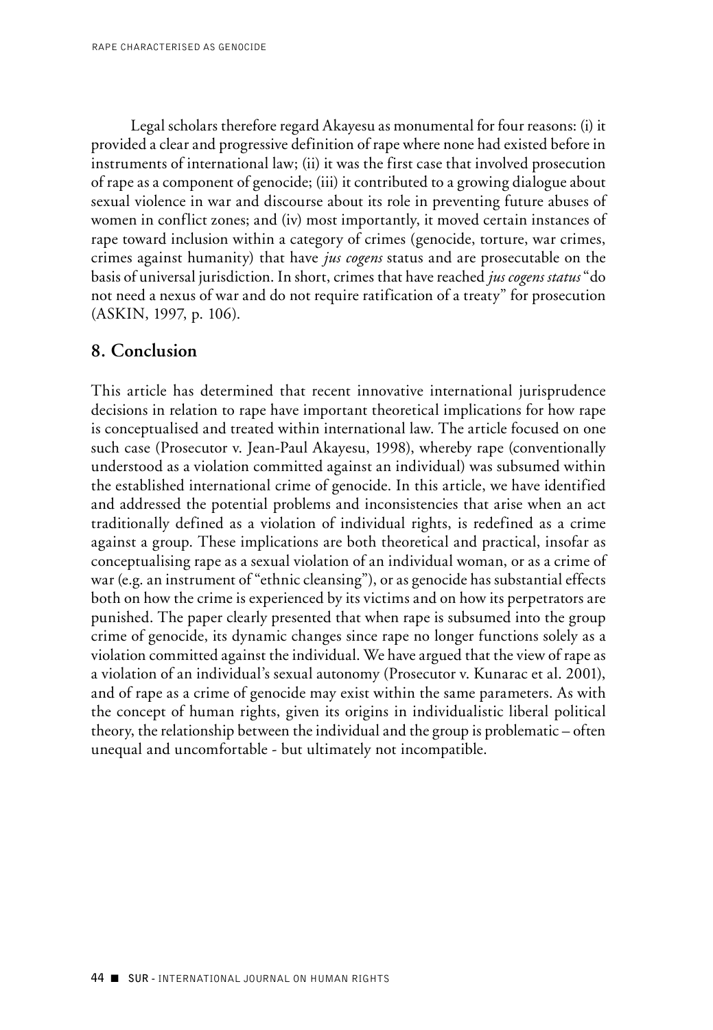Legal scholars therefore regard Akayesu as monumental for four reasons: (i) it provided a clear and progressive definition of rape where none had existed before in instruments of international law; (ii) it was the first case that involved prosecution of rape as a component of genocide; (iii) it contributed to a growing dialogue about sexual violence in war and discourse about its role in preventing future abuses of women in conflict zones; and (iv) most importantly, it moved certain instances of rape toward inclusion within a category of crimes (genocide, torture, war crimes, crimes against humanity) that have *jus cogens* status and are prosecutable on the basis of universal jurisdiction. In short, crimes that have reached *jus cogens status* "do not need a nexus of war and do not require ratification of a treaty" for prosecution (ASKIN, 1997, p. 106).

## **8. Conclusion**

This article has determined that recent innovative international jurisprudence decisions in relation to rape have important theoretical implications for how rape is conceptualised and treated within international law. The article focused on one such case (Prosecutor v. Jean-Paul Akayesu, 1998), whereby rape (conventionally understood as a violation committed against an individual) was subsumed within the established international crime of genocide. In this article, we have identified and addressed the potential problems and inconsistencies that arise when an act traditionally defined as a violation of individual rights, is redefined as a crime against a group. These implications are both theoretical and practical, insofar as conceptualising rape as a sexual violation of an individual woman, or as a crime of war (e.g. an instrument of "ethnic cleansing"), or as genocide has substantial effects both on how the crime is experienced by its victims and on how its perpetrators are punished. The paper clearly presented that when rape is subsumed into the group crime of genocide, its dynamic changes since rape no longer functions solely as a violation committed against the individual. We have argued that the view of rape as a violation of an individual's sexual autonomy (Prosecutor v. Kunarac et al. 2001), and of rape as a crime of genocide may exist within the same parameters. As with the concept of human rights, given its origins in individualistic liberal political theory, the relationship between the individual and the group is problematic – often unequal and uncomfortable - but ultimately not incompatible.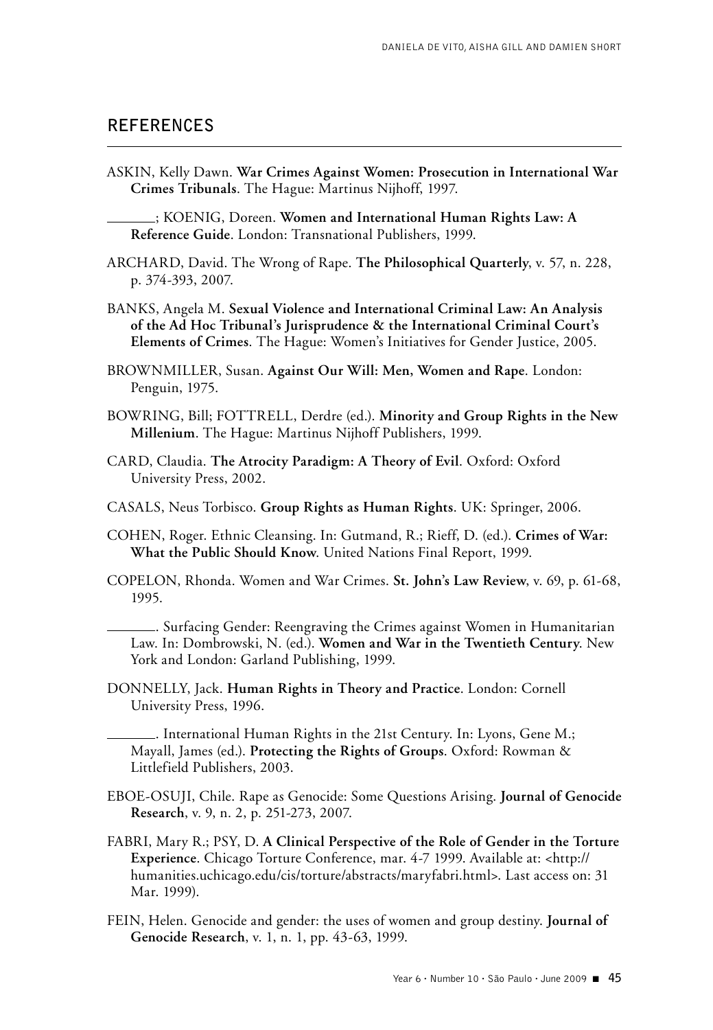### **References**

ASKIN, Kelly Dawn. **War Crimes Against Women: Prosecution in International War Crimes Tribunals**. The Hague: Martinus Nijhoff, 1997.

; KOENIG, Doreen. **Women and International Human Rights Law: A Reference Guide**. London: Transnational Publishers, 1999.

- ARCHARD, David. The Wrong of Rape. **The Philosophical Quarterly**, v. 57, n. 228, p. 374-393, 2007.
- BANKS, Angela M. **Sexual Violence and International Criminal Law: An Analysis of the Ad Hoc Tribunal's Jurisprudence & the International Criminal Court's Elements of Crimes**. The Hague: Women's Initiatives for Gender Justice, 2005.
- BROWNMILLER, Susan. **Against Our Will: Men, Women and Rape**. London: Penguin, 1975.
- BOWRING, Bill; FOTTRELL, Derdre (ed.). **Minority and Group Rights in the New Millenium**. The Hague: Martinus Nijhoff Publishers, 1999.
- CARD, Claudia. **The Atrocity Paradigm: A Theory of Evil**. Oxford: Oxford University Press, 2002.
- CASALS, Neus Torbisco. **Group Rights as Human Rights**. UK: Springer, 2006.
- COHEN, Roger. Ethnic Cleansing. In: Gutmand, R.; Rieff, D. (ed.). **Crimes of War: What the Public Should Know**. United Nations Final Report, 1999.
- COPELON, Rhonda. Women and War Crimes. **St. John's Law Review**, v. 69, p. 61-68, 1995.

. Surfacing Gender: Reengraving the Crimes against Women in Humanitarian Law. In: Dombrowski, N. (ed.). **Women and War in the Twentieth Century**. New York and London: Garland Publishing, 1999.

DONNELLY, Jack. **Human Rights in Theory and Practice**. London: Cornell University Press, 1996.

. International Human Rights in the 21st Century. In: Lyons, Gene M.; Mayall, James (ed.). **Protecting the Rights of Groups**. Oxford: Rowman & Littlefield Publishers, 2003.

- EBOE-OSUJI, Chile. Rape as Genocide: Some Questions Arising. **Journal of Genocide Research**, v. 9, n. 2, p. 251-273, 2007.
- FABRI, Mary R.; PSY, D. **A Clinical Perspective of the Role of Gender in the Torture Experience**. Chicago Torture Conference, mar. 4-7 1999. Available at: <http:// humanities.uchicago.edu/cis/torture/abstracts/maryfabri.html>. Last access on: 31 Mar. 1999).
- FEIN, Helen. Genocide and gender: the uses of women and group destiny. **Journal of Genocide Research**, v. 1, n. 1, pp. 43-63, 1999.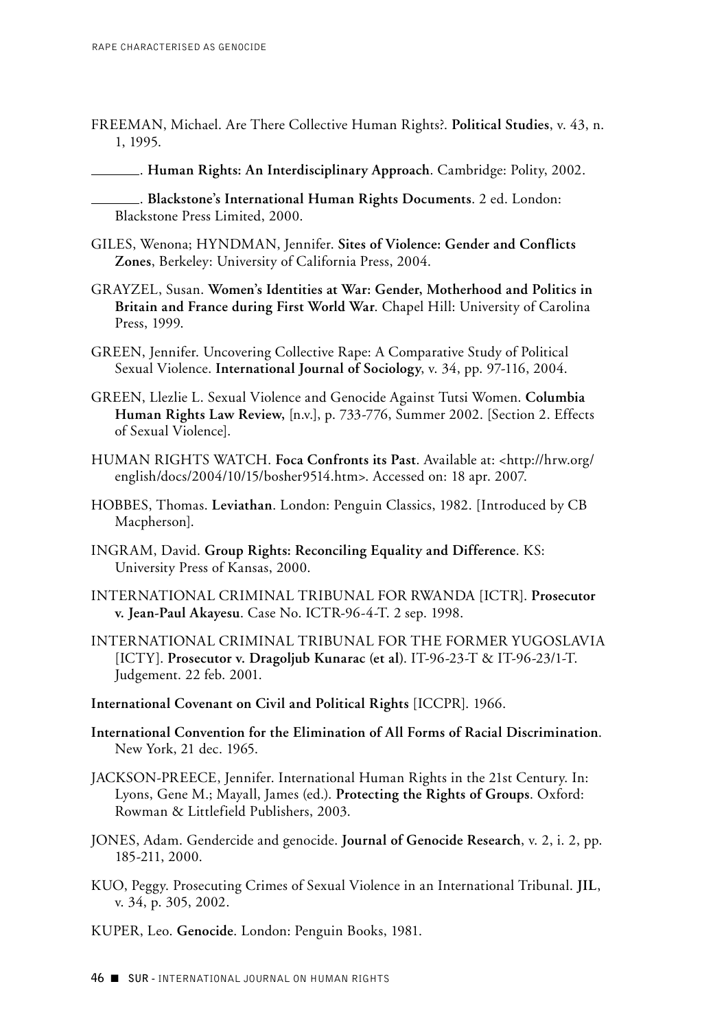- FREEMAN, Michael. Are There Collective Human Rights?. **Political Studies**, v. 43, n. 1, 1995.
- . **Human Rights: An Interdisciplinary Approach**. Cambridge: Polity, 2002.
- . **Blackstone's International Human Rights Documents**. 2 ed. London: Blackstone Press Limited, 2000.
- GILES, Wenona; HYNDMAN, Jennifer. **Sites of Violence: Gender and Conflicts Zones**, Berkeley: University of California Press, 2004.
- GRAYZEL, Susan. **Women's Identities at War: Gender, Motherhood and Politics in Britain and France during First World War**. Chapel Hill: University of Carolina Press, 1999.
- GREEN, Jennifer. Uncovering Collective Rape: A Comparative Study of Political Sexual Violence. **International Journal of Sociology**, v. 34, pp. 97-116, 2004.
- GREEN, Llezlie L. Sexual Violence and Genocide Against Tutsi Women. **Columbia Human Rights Law Review,** [n.v.], p. 733-776, Summer 2002. [Section 2. Effects of Sexual Violence].
- HUMAN RIGHTS WATCH. **Foca Confronts its Past**. Available at: <http://hrw.org/ english/docs/2004/10/15/bosher9514.htm>. Accessed on: 18 apr. 2007.
- HOBBES, Thomas. **Leviathan**. London: Penguin Classics, 1982. [Introduced by CB Macpherson].
- INGRAM, David. **Group Rights: Reconciling Equality and Difference**. KS: University Press of Kansas, 2000.
- INTERNATIONAL CRIMINAL TRIBUNAL FOR RWANDA [ICTR]. **Prosecutor v. Jean-Paul Akayesu**. Case No. ICTR-96-4-T. 2 sep. 1998.
- INTERNATIONAL CRIMINAL TRIBUNAL FOR THE FORMER YUGOSLAVIA [ICTY]. **Prosecutor v. Dragoljub Kunarac (et al)**. IT-96-23-T & IT-96-23/1-T. Judgement. 22 feb. 2001.
- **International Covenant on Civil and Political Rights** [ICCPR]. 1966.
- **International Convention for the Elimination of All Forms of Racial Discrimination**. New York, 21 dec. 1965.
- JACKSON-PREECE, Jennifer. International Human Rights in the 21st Century. In: Lyons, Gene M.; Mayall, James (ed.). **Protecting the Rights of Groups**. Oxford: Rowman & Littlefield Publishers, 2003.
- JONES, Adam. Gendercide and genocide. **Journal of Genocide Research**, v. 2, i. 2, pp. 185-211, 2000.
- KUO, Peggy. Prosecuting Crimes of Sexual Violence in an International Tribunal. **JIL**, v. 34, p. 305, 2002.
- KUPER, Leo. **Genocide**. London: Penguin Books, 1981.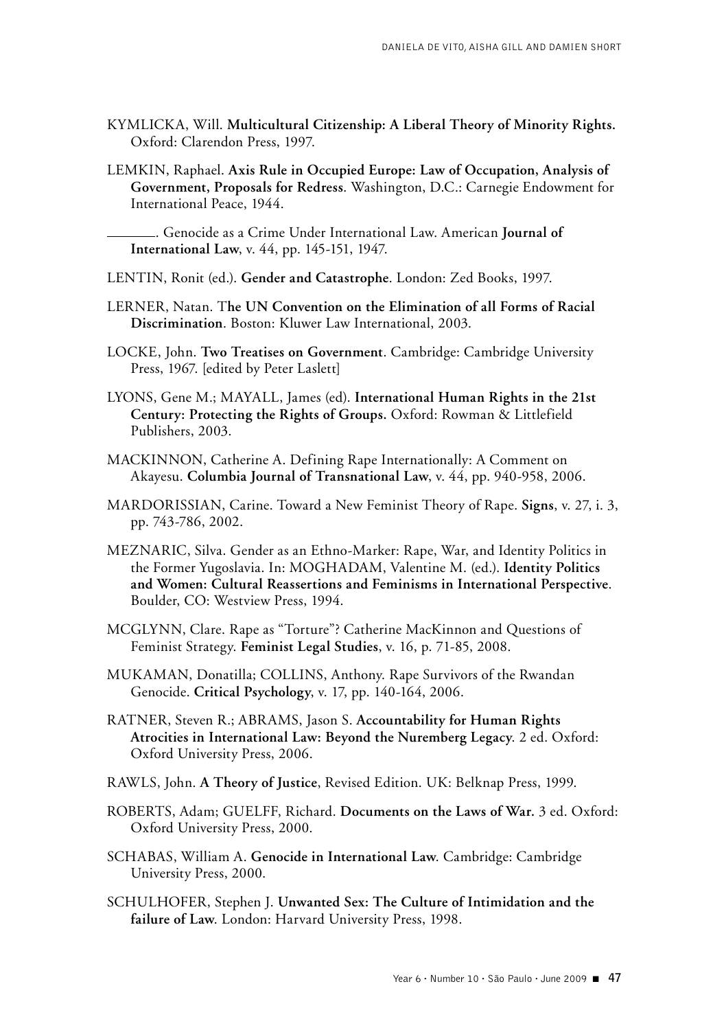- KYMLICKA, Will. **Multicultural Citizenship: A Liberal Theory of Minority Rights.**  Oxford: Clarendon Press, 1997.
- LEMKIN, Raphael. **Axis Rule in Occupied Europe: Law of Occupation, Analysis of Government, Proposals for Redress**. Washington, D.C.: Carnegie Endowment for International Peace, 1944.

. Genocide as a Crime Under International Law. American **Journal of International Law**, v. 44, pp. 145-151, 1947.

LENTIN, Ronit (ed.). **Gender and Catastrophe**. London: Zed Books, 1997.

- LERNER, Natan. T**he UN Convention on the Elimination of all Forms of Racial Discrimination**. Boston: Kluwer Law International, 2003.
- Locke , John. **Two Treatises on Government**. Cambridge: Cambridge University Press, 1967. [edited by Peter Laslett]
- Lyons , Gene M.; Mayall , James (ed). **International Human Rights in the 21st Century: Protecting the Rights of Groups.** Oxford: Rowman & Littlefield Publishers, 2003.
- MACKINNON, Catherine A. Defining Rape Internationally: A Comment on Akayesu. **Columbia Journal of Transnational Law**, v. 44, pp. 940-958, 2006.
- Mardorissian , Carine. Toward a New Feminist Theory of Rape. **Signs**, v. 27, i. 3, pp. 743-786, 2002.
- Meznaric , Silva. Gender as an Ethno-Marker: Rape, War, and Identity Politics in the Former Yugoslavia. In: MOGHADAM, Valentine M. (ed.). Identity Politics **and Women: Cultural Reassertions and Feminisms in International Perspective**. Boulder, CO: Westview Press, 1994.
- MCGLYNN, Clare. Rape as "Torture"? Catherine MacKinnon and Questions of Feminist Strategy. **Feminist Legal Studies**, v. 16, p. 71-85, 2008.
- MUKAMAN, Donatilla; COLLINS, Anthony. Rape Survivors of the Rwandan Genocide. **Critical Psychology**, v. 17, pp. 140-164, 2006.
- RATNER, Steven R.; ABRAMS, Jason S. Accountability for Human Rights **Atrocities in International Law: Beyond the Nuremberg Legacy**. 2 ed. Oxford: Oxford University Press, 2006.
- Rawls , John. **A Theory of Justice**, Revised Edition. UK: Belknap Press, 1999.
- ROBERTS, Adam; GUELFF, Richard. Documents on the Laws of War. 3 ed. Oxford: Oxford University Press, 2000.
- Schabas , William A. **Genocide in International Law**. Cambridge: Cambridge University Press, 2000.
- Schulhofer , Stephen J. **Unwanted Sex: The Culture of Intimidation and the failure of Law**. London: Harvard University Press, 1998.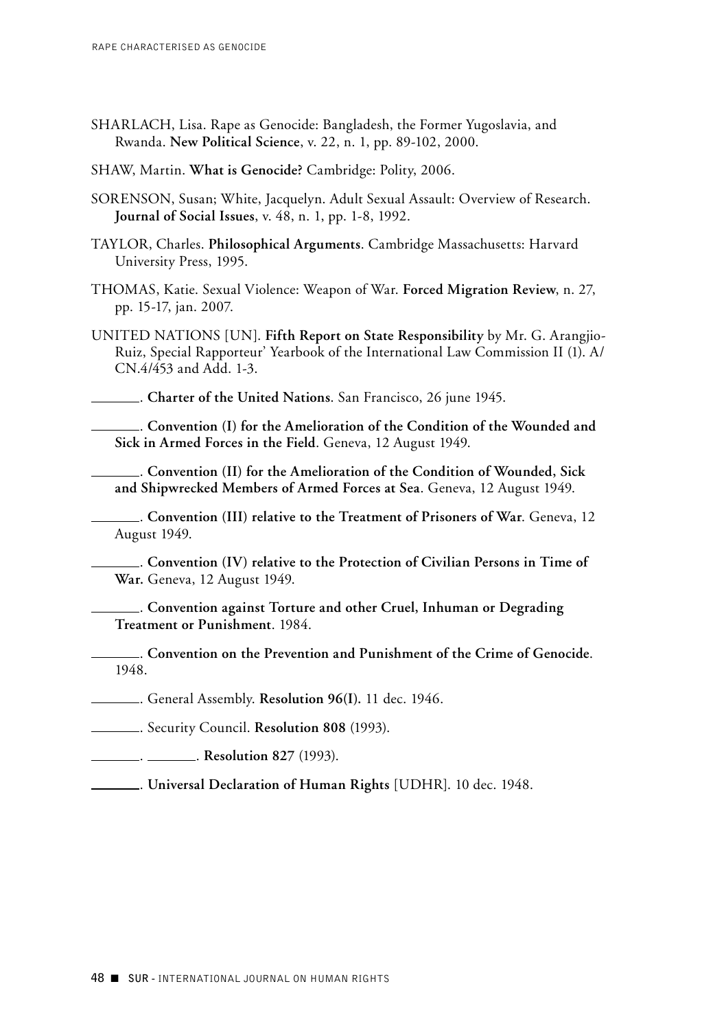- SHARLACH, Lisa. Rape as Genocide: Bangladesh, the Former Yugoslavia, and Rwanda. **New Political Science**, v. 22, n. 1, pp. 89-102, 2000.
- SHAW, Martin. What is Genocide? Cambridge: Polity, 2006.
- SORENSON, Susan; White, Jacquelyn. Adult Sexual Assault: Overview of Research. **Journal of Social Issues**, v. 48, n. 1, pp. 1-8, 1992.
- Taylor , Charles. **Philosophical Arguments**. Cambridge Massachusetts: Harvard University Press, 1995.
- Thomas , Katie. Sexual Violence: Weapon of War. **Forced Migration Review**, n. 27, pp. 15-17, jan. 2007.
- United Nations [UN]. **Fifth Report on State Responsibility** by Mr. G. Arangjio-Ruiz, Special Rapporteur' Yearbook of the International Law Commission II (1). A/ CN.4/453 and Add. 1-3.

. **Charter of the United Nations**. San Francisco, 26 june 1945.

. **Convention (I) for the Amelioration of the Condition of the Wounded and Sick in Armed Forces in the Field**. Geneva, 12 August 1949.

. **Convention (II) for the Amelioration of the Condition of Wounded, Sick and Shipwrecked Members of Armed Forces at Sea**. Geneva, 12 August 1949.

. **Convention (III) relative to the Treatment of Prisoners of War**. Geneva, 12 August 1949.

. **Convention (IV) relative to the Protection of Civilian Persons in Time of War.** Geneva, 12 August 1949.

. **Convention against Torture and other Cruel, Inhuman or Degrading Treatment or Punishment**. 1984.

. **Convention on the Prevention and Punishment of the Crime of Genocide**. 1948.

. General Assembly. **Resolution 96(I).** 11 dec. 1946.

. Security Council. **Resolution 808** (1993).

. . **Resolution 827** (1993).

. **Universal Declaration of Human Rights** [UDHR]. 10 dec. 1948.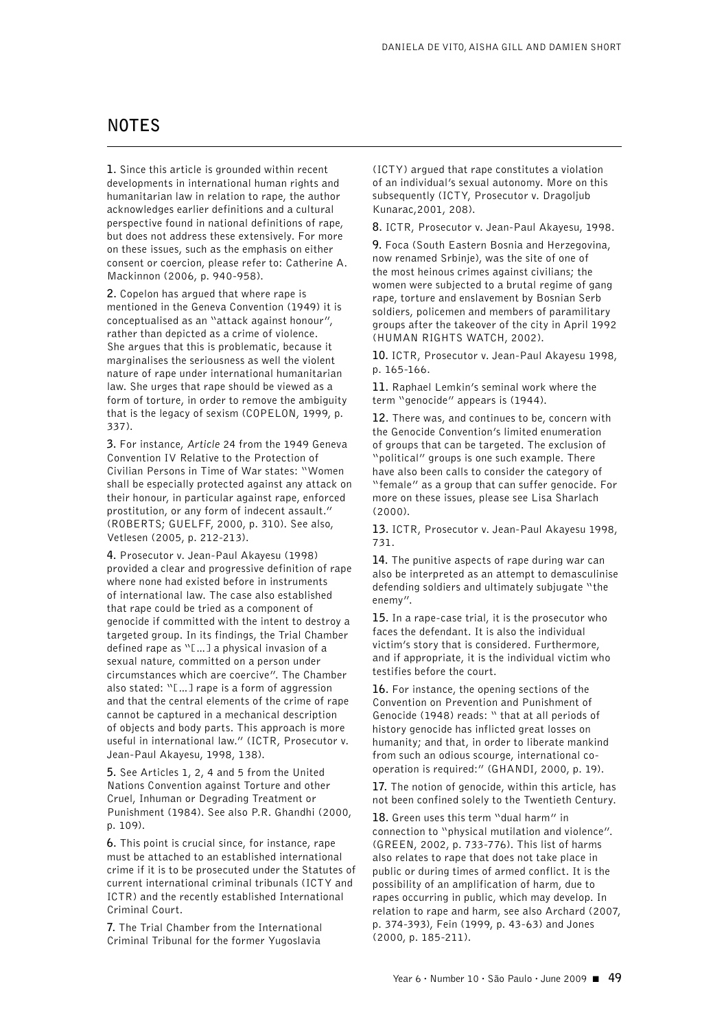# **NOTeS**

**1.** Since this article is grounded within recent developments in international human rights and humanitarian law in relation to rape, the author acknowledges earlier definitions and a cultural perspective found in national definitions of rape, but does not address these extensively. For more on these issues, such as the emphasis on either consent or coercion, please refer to: Catherine A. Mackinnon (2006, p. 940-958).

**2.** Copelon has argued that where rape is mentioned in the Geneva Convention (1949) it is conceptualised as an "attack against honour", rather than depicted as a crime of violence. She argues that this is problematic, because it marginalises the seriousness as well the violent nature of rape under international humanitarian law. She urges that rape should be viewed as a form of torture, in order to remove the ambiguity that is the legacy of sexism (COPELON, 1999, p. 337).

**3.** For instance, *Article* 24 from the 1949 Geneva Convention IV Relative to the Protection of Civilian Persons in Time of War states: "Women shall be especially protected against any attack on their honour, in particular against rape, enforced prostitution, or any form of indecent assault." (ROBERTS; GUELFF, 2000, p. 310). See also, Vetlesen (2005, p. 212-213).

**4.** Prosecutor v. Jean-Paul Akayesu (1998) provided a clear and progressive definition of rape where none had existed before in instruments of international law. The case also established that rape could be tried as a component of genocide if committed with the intent to destroy a targeted group. In its findings, the Trial Chamber defined rape as "[…] a physical invasion of a sexual nature, committed on a person under circumstances which are coercive". The Chamber also stated: "[…] rape is a form of aggression and that the central elements of the crime of rape cannot be captured in a mechanical description of objects and body parts. This approach is more useful in international law." (ICTR, Prosecutor v. Jean-Paul Akayesu, 1998, 138).

**5.** See Articles 1, 2, 4 and 5 from the United Nations Convention against Torture and other Cruel, Inhuman or Degrading Treatment or Punishment (1984). See also P.R. Ghandhi (2000, p. 109).

**6.** This point is crucial since, for instance, rape must be attached to an established international crime if it is to be prosecuted under the Statutes of current international criminal tribunals (ICTY and ICTR) and the recently established International Criminal Court.

**7.** The Trial Chamber from the International Criminal Tribunal for the former Yugoslavia

(ICTY) argued that rape constitutes a violation of an individual's sexual autonomy. More on this subsequently (ICTY, Prosecutor v. Dragoljub Kunarac,2001, 208).

**8.** ICTR, Prosecutor v. Jean-Paul Akayesu, 1998.

**9.** Foca (South Eastern Bosnia and Herzegovina, now renamed Srbinje), was the site of one of the most heinous crimes against civilians; the women were subjected to a brutal regime of gang rape, torture and enslavement by Bosnian Serb soldiers, policemen and members of paramilitary groups after the takeover of the city in April 1992 (HUMAN RIGHTS WATCH, 2002).

**10.** ICTR, Prosecutor v. Jean-Paul Akayesu 1998, p. 165-166.

**11.** Raphael Lemkin's seminal work where the term "genocide" appears is (1944).

**12.** There was, and continues to be, concern with the Genocide Convention's limited enumeration of groups that can be targeted. The exclusion of "political" groups is one such example. There have also been calls to consider the category of "female" as a group that can suffer genocide. For more on these issues, please see Lisa Sharlach (2000).

**13.** ICTR, Prosecutor v. Jean-Paul Akayesu 1998, 731.

**14.** The punitive aspects of rape during war can also be interpreted as an attempt to demasculinise defending soldiers and ultimately subjugate "the enemy".

**15.** In a rape-case trial, it is the prosecutor who faces the defendant. It is also the individual victim's story that is considered. Furthermore, and if appropriate, it is the individual victim who testifies before the court.

**16.** For instance, the opening sections of the Convention on Prevention and Punishment of Genocide (1948) reads: " that at all periods of history genocide has inflicted great losses on humanity; and that, in order to liberate mankind from such an odious scourge, international cooperation is required:" (GHANDI, 2000, p. 19).

**17.** The notion of genocide, within this article, has not been confined solely to the Twentieth Century.

**18.** Green uses this term "dual harm" in connection to "physical mutilation and violence". (GREEN, 2002, p. 733-776). This list of harms also relates to rape that does not take place in public or during times of armed conflict. It is the possibility of an amplification of harm, due to rapes occurring in public, which may develop. In relation to rape and harm, see also Archard (2007, p. 374-393), Fein (1999, p. 43-63) and Jones (2000, p. 185-211).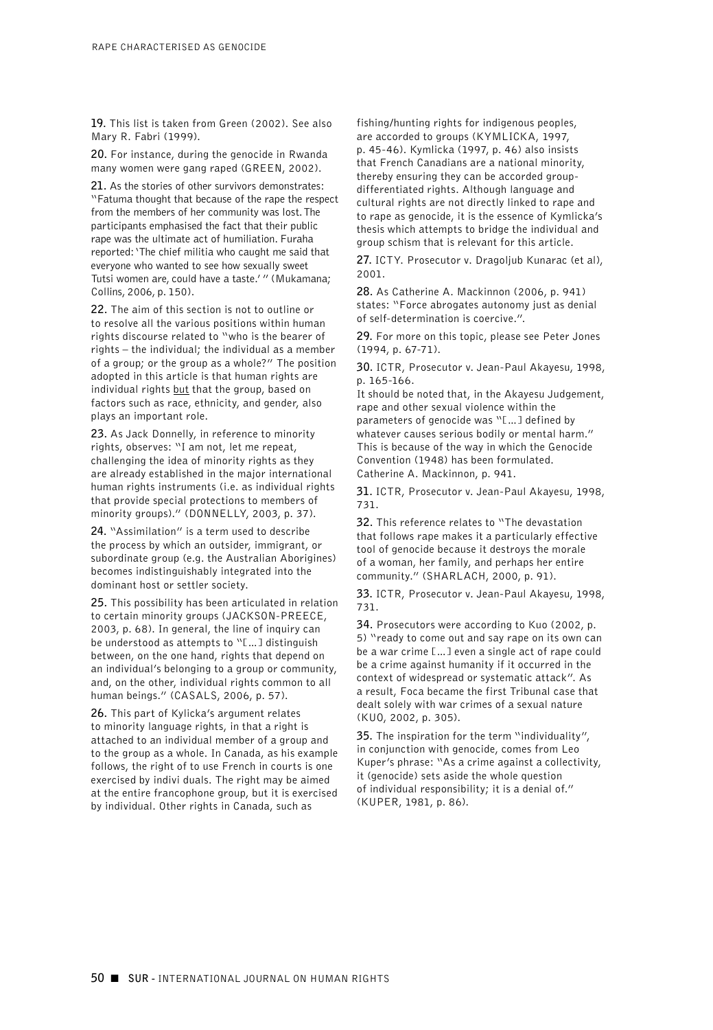**19.** This list is taken from Green (2002). See also Mary R. Fabri (1999).

**20.** For instance, during the genocide in Rwanda many women were gang raped (GREEN, 2002).

**21.** As the stories of other survivors demonstrates: "Fatuma thought that because of the rape the respect from the members of her community was lost. The participants emphasised the fact that their public rape was the ultimate act of humiliation. Furaha reported: 'The chief militia who caught me said that everyone who wanted to see how sexually sweet Tutsi women are, could have a taste.' " (Mukamana; Collins, 2006, p. 150).

**22.** The aim of this section is not to outline or to resolve all the various positions within human rights discourse related to "who is the bearer of rights – the individual; the individual as a member of a group; or the group as a whole?" The position adopted in this article is that human rights are individual rights but that the group, based on factors such as race, ethnicity, and gender, also plays an important role.

**23.** As Jack Donnelly, in reference to minority rights, observes: "I am not, let me repeat, challenging the idea of minority rights as they are already established in the major international human rights instruments (i.e. as individual rights that provide special protections to members of minority groups)." (DONNELLY, 2003, p. 37).

**24.** "Assimilation" is a term used to describe the process by which an outsider, immigrant, or subordinate group (e.g. the Australian Aborigines) becomes indistinguishably integrated into the dominant host or settler society.

**25.** This possibility has been articulated in relation to certain minority groups (JACKSON-PREECE, 2003, p. 68). In general, the line of inquiry can be understood as attempts to "[...] distinguish between, on the one hand, rights that depend on an individual's belonging to a group or community, and, on the other, individual rights common to all human beings." (CASALS, 2006, p. 57).

**26.** This part of Kylicka's argument relates to minority language rights, in that a right is attached to an individual member of a group and to the group as a whole. In Canada, as his example follows, the right of to use French in courts is one exercised by indivi duals. The right may be aimed at the entire francophone group, but it is exercised by individual. Other rights in Canada, such as

fishing/hunting rights for indigenous peoples, are accorded to groups (KYMLICKA, 1997,

p. 45-46). Kymlicka (1997, p. 46) also insists that French Canadians are a national minority, thereby ensuring they can be accorded groupdifferentiated rights. Although language and cultural rights are not directly linked to rape and to rape as genocide, it is the essence of Kymlicka's thesis which attempts to bridge the individual and group schism that is relevant for this article.

**27.** ICTY. Prosecutor v. Dragoljub Kunarac (et al), 2001.

**28.** As Catherine A. Mackinnon (2006, p. 941) states: "Force abrogates autonomy just as denial of self-determination is coercive.".

**29.** For more on this topic, please see Peter Jones (1994, p. 67-71).

**30.** ICTR, Prosecutor v. Jean-Paul Akayesu, 1998, p. 165-166.

It should be noted that, in the Akayesu Judgement, rape and other sexual violence within the parameters of genocide was "[...] defined by whatever causes serious bodily or mental harm." This is because of the way in which the Genocide Convention (1948) has been formulated. Catherine A. Mackinnon, p. 941.

**31.** ICTR, Prosecutor v. Jean-Paul Akayesu, 1998, 731.

**32.** This reference relates to "The devastation that follows rape makes it a particularly effective tool of genocide because it destroys the morale of a woman, her family, and perhaps her entire community." (SHARLACH, 2000, p. 91).

**33.** ICTR, Prosecutor v. Jean-Paul Akayesu, 1998, 731.

**34.** Prosecutors were according to Kuo (2002, p. 5) "ready to come out and say rape on its own can be a war crime […] even a single act of rape could be a crime against humanity if it occurred in the context of widespread or systematic attack". As a result, Foca became the first Tribunal case that dealt solely with war crimes of a sexual nature (KU0, 2002, p. 305).

**35.** The inspiration for the term "individuality", in conjunction with genocide, comes from Leo Kuper's phrase: "As a crime against a collectivity, it (genocide) sets aside the whole question of individual responsibility; it is a denial of." (KUPER, 1981, p. 86).